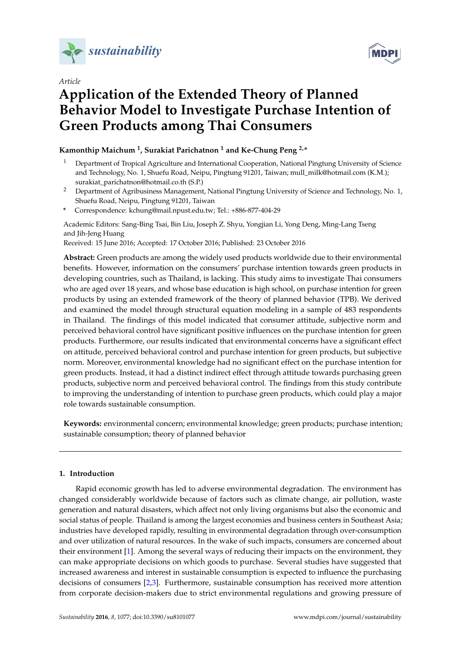

*Article*



# **Application of the Extended Theory of Planned Behavior Model to Investigate Purchase Intention of Green Products among Thai Consumers**

# **Kamonthip Maichum <sup>1</sup> , Surakiat Parichatnon <sup>1</sup> and Ke-Chung Peng 2,\***

- <sup>1</sup> Department of Tropical Agriculture and International Cooperation, National Pingtung University of Science and Technology, No. 1, Shuefu Road, Neipu, Pingtung 91201, Taiwan; mull\_milk@hotmail.com (K.M.); surakiat\_parichatnon@hotmail.co.th (S.P.)
- <sup>2</sup> Department of Agribusiness Management, National Pingtung University of Science and Technology, No. 1, Shuefu Road, Neipu, Pingtung 91201, Taiwan
- **\*** Correspondence: kchung@mail.npust.edu.tw; Tel.: +886-877-404-29

Academic Editors: Sang-Bing Tsai, Bin Liu, Joseph Z. Shyu, Yongjian Li, Yong Deng, Ming-Lang Tseng and Jih-Jeng Huang

Received: 15 June 2016; Accepted: 17 October 2016; Published: 23 October 2016

**Abstract:** Green products are among the widely used products worldwide due to their environmental benefits. However, information on the consumers' purchase intention towards green products in developing countries, such as Thailand, is lacking. This study aims to investigate Thai consumers who are aged over 18 years, and whose base education is high school, on purchase intention for green products by using an extended framework of the theory of planned behavior (TPB). We derived and examined the model through structural equation modeling in a sample of 483 respondents in Thailand. The findings of this model indicated that consumer attitude, subjective norm and perceived behavioral control have significant positive influences on the purchase intention for green products. Furthermore, our results indicated that environmental concerns have a significant effect on attitude, perceived behavioral control and purchase intention for green products, but subjective norm. Moreover, environmental knowledge had no significant effect on the purchase intention for green products. Instead, it had a distinct indirect effect through attitude towards purchasing green products, subjective norm and perceived behavioral control. The findings from this study contribute to improving the understanding of intention to purchase green products, which could play a major role towards sustainable consumption.

**Keywords:** environmental concern; environmental knowledge; green products; purchase intention; sustainable consumption; theory of planned behavior

# **1. Introduction**

Rapid economic growth has led to adverse environmental degradation. The environment has changed considerably worldwide because of factors such as climate change, air pollution, waste generation and natural disasters, which affect not only living organisms but also the economic and social status of people. Thailand is among the largest economies and business centers in Southeast Asia; industries have developed rapidly, resulting in environmental degradation through over-consumption and over utilization of natural resources. In the wake of such impacts, consumers are concerned about their environment [\[1\]](#page-14-0). Among the several ways of reducing their impacts on the environment, they can make appropriate decisions on which goods to purchase. Several studies have suggested that increased awareness and interest in sustainable consumption is expected to influence the purchasing decisions of consumers [\[2](#page-14-1)[,3\]](#page-14-2). Furthermore, sustainable consumption has received more attention from corporate decision-makers due to strict environmental regulations and growing pressure of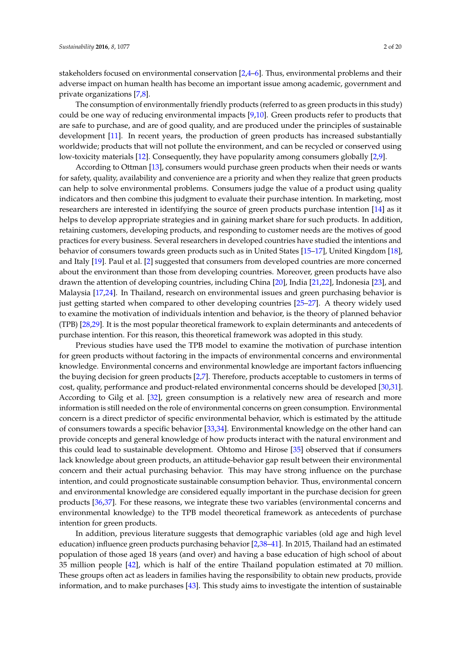stakeholders focused on environmental conservation [\[2](#page-14-1)[,4](#page-14-3)[–6\]](#page-14-4). Thus, environmental problems and their adverse impact on human health has become an important issue among academic, government and private organizations [\[7](#page-14-5)[,8\]](#page-14-6).

The consumption of environmentally friendly products (referred to as green products in this study) could be one way of reducing environmental impacts [\[9](#page-14-7)[,10\]](#page-14-8). Green products refer to products that are safe to purchase, and are of good quality, and are produced under the principles of sustainable development [\[11\]](#page-14-9). In recent years, the production of green products has increased substantially worldwide; products that will not pollute the environment, and can be recycled or conserved using low-toxicity materials [\[12\]](#page-14-10). Consequently, they have popularity among consumers globally [\[2](#page-14-1)[,9\]](#page-14-7).

According to Ottman [\[13\]](#page-14-11), consumers would purchase green products when their needs or wants for safety, quality, availability and convenience are a priority and when they realize that green products can help to solve environmental problems. Consumers judge the value of a product using quality indicators and then combine this judgment to evaluate their purchase intention. In marketing, most researchers are interested in identifying the source of green products purchase intention [\[14\]](#page-14-12) as it helps to develop appropriate strategies and in gaining market share for such products. In addition, retaining customers, developing products, and responding to customer needs are the motives of good practices for every business. Several researchers in developed countries have studied the intentions and behavior of consumers towards green products such as in United States [\[15–](#page-14-13)[17\]](#page-14-14), United Kingdom [\[18\]](#page-14-15), and Italy [\[19\]](#page-14-16). Paul et al. [\[2\]](#page-14-1) suggested that consumers from developed countries are more concerned about the environment than those from developing countries. Moreover, green products have also drawn the attention of developing countries, including China [\[20\]](#page-14-17), India [\[21](#page-14-18)[,22\]](#page-15-0), Indonesia [\[23\]](#page-15-1), and Malaysia [\[17,](#page-14-14)[24\]](#page-15-2). In Thailand, research on environmental issues and green purchasing behavior is just getting started when compared to other developing countries [\[25](#page-15-3)[–27\]](#page-15-4). A theory widely used to examine the motivation of individuals intention and behavior, is the theory of planned behavior (TPB) [\[28](#page-15-5)[,29\]](#page-15-6). It is the most popular theoretical framework to explain determinants and antecedents of purchase intention. For this reason, this theoretical framework was adopted in this study.

Previous studies have used the TPB model to examine the motivation of purchase intention for green products without factoring in the impacts of environmental concerns and environmental knowledge. Environmental concerns and environmental knowledge are important factors influencing the buying decision for green products [\[2,](#page-14-1)[7\]](#page-14-5). Therefore, products acceptable to customers in terms of cost, quality, performance and product-related environmental concerns should be developed [\[30,](#page-15-7)[31\]](#page-15-8). According to Gilg et al. [\[32\]](#page-15-9), green consumption is a relatively new area of research and more information is still needed on the role of environmental concerns on green consumption. Environmental concern is a direct predictor of specific environmental behavior, which is estimated by the attitude of consumers towards a specific behavior [\[33,](#page-15-10)[34\]](#page-15-11). Environmental knowledge on the other hand can provide concepts and general knowledge of how products interact with the natural environment and this could lead to sustainable development. Ohtomo and Hirose [\[35\]](#page-15-12) observed that if consumers lack knowledge about green products, an attitude-behavior gap result between their environmental concern and their actual purchasing behavior. This may have strong influence on the purchase intention, and could prognosticate sustainable consumption behavior. Thus, environmental concern and environmental knowledge are considered equally important in the purchase decision for green products [\[36](#page-15-13)[,37\]](#page-15-14). For these reasons, we integrate these two variables (environmental concerns and environmental knowledge) to the TPB model theoretical framework as antecedents of purchase intention for green products.

In addition, previous literature suggests that demographic variables (old age and high level education) influence green products purchasing behavior [\[2](#page-14-1)[,38](#page-15-15)[–41\]](#page-15-16). In 2015, Thailand had an estimated population of those aged 18 years (and over) and having a base education of high school of about 35 million people [\[42\]](#page-15-17), which is half of the entire Thailand population estimated at 70 million. These groups often act as leaders in families having the responsibility to obtain new products, provide information, and to make purchases [\[43\]](#page-15-18). This study aims to investigate the intention of sustainable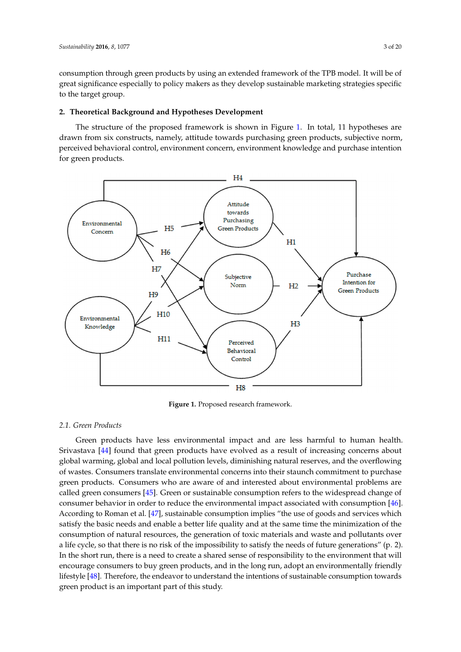consumption through green products by using an extended framework of the TPB model. It will be of great significance especially to policy makers as they develop sustainable marketing strategies specific to the target group.

# **2. Theoretical Background and Hypotheses Development 2. Theoretical Background and Hypotheses Development**

The structure of the proposed framework is shown in Figure 1. In total, 11 hypotheses are The structure of the proposed framework is shown in Figure [1](#page-2-0). In total, 11 hypotheses are drawn from six constructs, namely, attitude towards purchasing green products, subjective norm, drawn from six constructs, namely, attitude towards purchasing green products, subjective norm, perceived behavioral control, environment concern, environment knowledge and purchase intention perceived behavioral control, environment concern, environment knowledge and purchase for green products.

<span id="page-2-0"></span>

**Figure 1.** Proposed research framework. **Figure 1.** Proposed research framework.

## *2.1. Green Products 2.1. Green Products*

Green products have less environmental impact and are less harmful to human health. Green products have less environmental impact and are less harmful to human health. Srivastava [44] found that green products have evolved as a result of increasing concerns about Srivastava [\[44\]](#page-15-19) found that green products have evolved as a result of increasing concerns about global warming, global and local pollution levels, diminishing natural reserves, and the overflowing global warming, global and local pollution levels, diminishing natural reserves, and the overflowing of wastes. Consumers translate environmental concerns into their staunch commitment to purchase green products. Consumers who are aware of and interested about environmental problems are green products. Consumers who are aware of and interested about environmental problems are called green consumers [45]. Green or sustainable consumption refers to the widespread change of called green consumers [\[45\]](#page-15-20). Green or sustainable consumption refers to the widespread change of consumer behavior in order to reduce the environmental impact associated with consumption [46]. consumer behavior in order to reduce the environmental impact associated with consumption [\[46\]](#page-16-0). According to Roman et al. [47], sustainable consumption implies "the use of goods and services According to Roman et al. [\[47\]](#page-16-1), sustainable consumption implies "the use of goods and services which satisfy the basic needs and enable a better life quality and at the same time the minimization of the of the consumption of natural resources, the generation of toxic materials and waste and pollutants consumption of natural resources, the generation of toxic materials and waste and pollutants over a life cycle, so that there is no risk of the impossibility to satisfy the needs of future generations" (p. 2). In the short run, there is a need to create a shared sense of responsibility to the environment that will encourage consumers to buy green products, and in the long run, adopt an environmentally friendly lifestyle [\[48\]](#page-16-2). Therefore, the endeavor to understand the intentions of sustainable consumption towards green product is an important part of this study.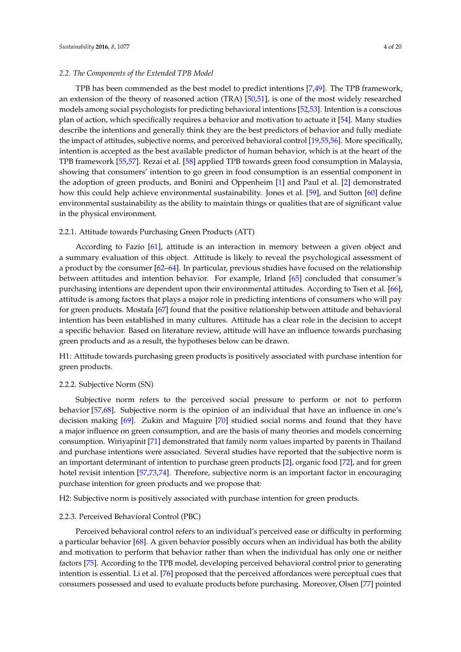#### *2.2. The Components of the Extended TPB Model*

TPB has been commended as the best model to predict intentions [\[7](#page-14-5)[,49\]](#page-16-3). The TPB framework, an extension of the theory of reasoned action (TRA) [\[50,](#page-16-4)[51\]](#page-16-5), is one of the most widely researched models among social psychologists for predicting behavioral intentions [\[52,](#page-16-6)[53\]](#page-16-7). Intention is a conscious plan of action, which specifically requires a behavior and motivation to actuate it [\[54\]](#page-16-8). Many studies describe the intentions and generally think they are the best predictors of behavior and fully mediate the impact of attitudes, subjective norms, and perceived behavioral control [\[19](#page-14-16)[,55](#page-16-9)[,56\]](#page-16-10). More specifically, intention is accepted as the best available predictor of human behavior, which is at the heart of the TPB framework [\[55](#page-16-9)[,57\]](#page-16-11). Rezai et al. [\[58\]](#page-16-12) applied TPB towards green food consumption in Malaysia, showing that consumers' intention to go green in food consumption is an essential component in the adoption of green products, and Bonini and Oppenheim [\[1\]](#page-14-0) and Paul et al. [\[2\]](#page-14-1) demonstrated how this could help achieve environmental sustainability. Jones et al. [\[59\]](#page-16-13), and Sutton [\[60\]](#page-16-14) define environmental sustainability as the ability to maintain things or qualities that are of significant value in the physical environment.

#### 2.2.1. Attitude towards Purchasing Green Products (ATT)

According to Fazio [\[61\]](#page-16-15), attitude is an interaction in memory between a given object and a summary evaluation of this object. Attitude is likely to reveal the psychological assessment of a product by the consumer [\[62–](#page-16-16)[64\]](#page-16-17). In particular, previous studies have focused on the relationship between attitudes and intention behavior. For example, Irland [\[65\]](#page-16-18) concluded that consumer's purchasing intentions are dependent upon their environmental attitudes. According to Tsen et al. [\[66\]](#page-16-19), attitude is among factors that plays a major role in predicting intentions of consumers who will pay for green products. Mostafa [\[67\]](#page-16-20) found that the positive relationship between attitude and behavioral intention has been established in many cultures. Attitude has a clear role in the decision to accept a specific behavior. Based on literature review, attitude will have an influence towards purchasing green products and as a result, the hypotheses below can be drawn.

H1: Attitude towards purchasing green products is positively associated with purchase intention for green products.

#### 2.2.2. Subjective Norm (SN)

Subjective norm refers to the perceived social pressure to perform or not to perform behavior [\[57](#page-16-11)[,68\]](#page-16-21). Subjective norm is the opinion of an individual that have an influence in one's decision making [\[69\]](#page-16-22). Zukin and Maguire [\[70\]](#page-16-23) studied social norms and found that they have a major influence on green consumption, and are the basis of many theories and models concerning consumption. Wiriyapinit [\[71\]](#page-16-24) demonstrated that family norm values imparted by parents in Thailand and purchase intentions were associated. Several studies have reported that the subjective norm is an important determinant of intention to purchase green products [\[2\]](#page-14-1), organic food [\[72\]](#page-17-0), and for green hotel revisit intention [\[57,](#page-16-11)[73,](#page-17-1)[74\]](#page-17-2). Therefore, subjective norm is an important factor in encouraging purchase intention for green products and we propose that:

H2: Subjective norm is positively associated with purchase intention for green products.

#### 2.2.3. Perceived Behavioral Control (PBC)

Perceived behavioral control refers to an individual's perceived ease or difficulty in performing a particular behavior [\[68\]](#page-16-21). A given behavior possibly occurs when an individual has both the ability and motivation to perform that behavior rather than when the individual has only one or neither factors [\[75\]](#page-17-3). According to the TPB model, developing perceived behavioral control prior to generating intention is essential. Li et al. [\[76\]](#page-17-4) proposed that the perceived affordances were perceptual cues that consumers possessed and used to evaluate products before purchasing. Moreover, Olsen [\[77\]](#page-17-5) pointed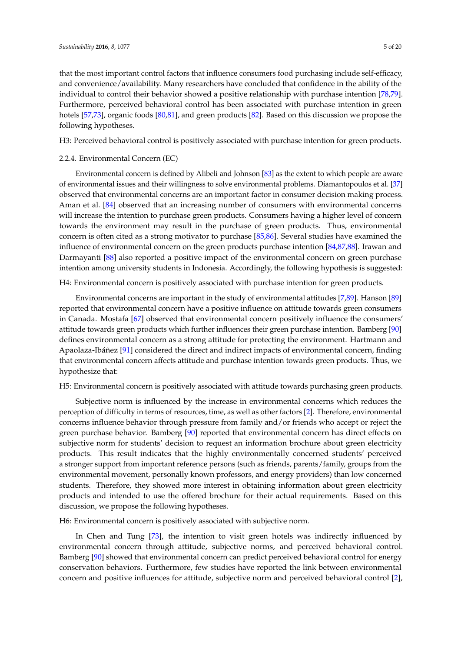that the most important control factors that influence consumers food purchasing include self-efficacy, and convenience/availability. Many researchers have concluded that confidence in the ability of the individual to control their behavior showed a positive relationship with purchase intention [\[78,](#page-17-6)[79\]](#page-17-7). Furthermore, perceived behavioral control has been associated with purchase intention in green hotels [\[57](#page-16-11)[,73\]](#page-17-1), organic foods [\[80](#page-17-8)[,81\]](#page-17-9), and green products [\[82\]](#page-17-10). Based on this discussion we propose the following hypotheses.

H3: Perceived behavioral control is positively associated with purchase intention for green products.

#### 2.2.4. Environmental Concern (EC)

Environmental concern is defined by Alibeli and Johnson [\[83\]](#page-17-11) as the extent to which people are aware of environmental issues and their willingness to solve environmental problems. Diamantopoulos et al. [\[37\]](#page-15-14) observed that environmental concerns are an important factor in consumer decision making process. Aman et al. [\[84\]](#page-17-12) observed that an increasing number of consumers with environmental concerns will increase the intention to purchase green products. Consumers having a higher level of concern towards the environment may result in the purchase of green products. Thus, environmental concern is often cited as a strong motivator to purchase [\[85,](#page-17-13)[86\]](#page-17-14). Several studies have examined the influence of environmental concern on the green products purchase intention [\[84](#page-17-12)[,87](#page-17-15)[,88\]](#page-17-16). Irawan and Darmayanti [\[88\]](#page-17-16) also reported a positive impact of the environmental concern on green purchase intention among university students in Indonesia. Accordingly, the following hypothesis is suggested:

H4: Environmental concern is positively associated with purchase intention for green products.

Environmental concerns are important in the study of environmental attitudes [\[7](#page-14-5)[,89\]](#page-17-17). Hanson [\[89\]](#page-17-17) reported that environmental concern have a positive influence on attitude towards green consumers in Canada. Mostafa [\[67\]](#page-16-20) observed that environmental concern positively influence the consumers' attitude towards green products which further influences their green purchase intention. Bamberg [\[90\]](#page-17-18) defines environmental concern as a strong attitude for protecting the environment. Hartmann and Apaolaza-Ibáñez [\[91\]](#page-17-19) considered the direct and indirect impacts of environmental concern, finding that environmental concern affects attitude and purchase intention towards green products. Thus, we hypothesize that:

H5: Environmental concern is positively associated with attitude towards purchasing green products.

Subjective norm is influenced by the increase in environmental concerns which reduces the perception of difficulty in terms of resources, time, as well as other factors [\[2\]](#page-14-1). Therefore, environmental concerns influence behavior through pressure from family and/or friends who accept or reject the green purchase behavior. Bamberg [\[90\]](#page-17-18) reported that environmental concern has direct effects on subjective norm for students' decision to request an information brochure about green electricity products. This result indicates that the highly environmentally concerned students' perceived a stronger support from important reference persons (such as friends, parents/family, groups from the environmental movement, personally known professors, and energy providers) than low concerned students. Therefore, they showed more interest in obtaining information about green electricity products and intended to use the offered brochure for their actual requirements. Based on this discussion, we propose the following hypotheses.

H6: Environmental concern is positively associated with subjective norm.

In Chen and Tung [\[73\]](#page-17-1), the intention to visit green hotels was indirectly influenced by environmental concern through attitude, subjective norms, and perceived behavioral control. Bamberg [\[90\]](#page-17-18) showed that environmental concern can predict perceived behavioral control for energy conservation behaviors. Furthermore, few studies have reported the link between environmental concern and positive influences for attitude, subjective norm and perceived behavioral control [\[2\]](#page-14-1),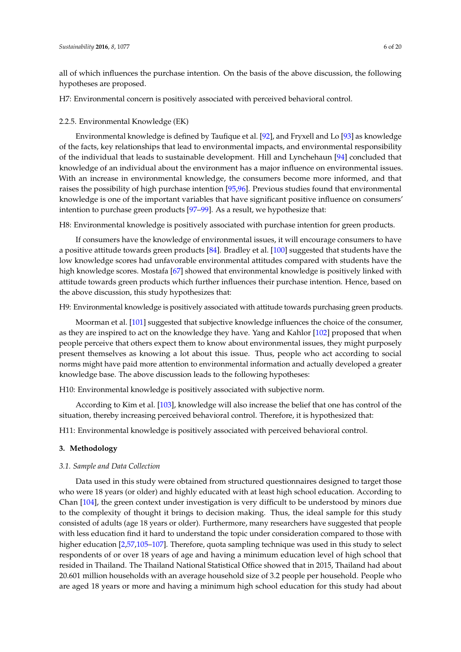all of which influences the purchase intention. On the basis of the above discussion, the following hypotheses are proposed.

H7: Environmental concern is positively associated with perceived behavioral control.

#### 2.2.5. Environmental Knowledge (EK)

Environmental knowledge is defined by Taufique et al. [\[92\]](#page-17-20), and Fryxell and Lo [\[93\]](#page-17-21) as knowledge of the facts, key relationships that lead to environmental impacts, and environmental responsibility of the individual that leads to sustainable development. Hill and Lynchehaun [\[94\]](#page-17-22) concluded that knowledge of an individual about the environment has a major influence on environmental issues. With an increase in environmental knowledge, the consumers become more informed, and that raises the possibility of high purchase intention [\[95,](#page-17-23)[96\]](#page-18-0). Previous studies found that environmental knowledge is one of the important variables that have significant positive influence on consumers' intention to purchase green products [\[97–](#page-18-1)[99\]](#page-18-2). As a result, we hypothesize that:

H8: Environmental knowledge is positively associated with purchase intention for green products.

If consumers have the knowledge of environmental issues, it will encourage consumers to have a positive attitude towards green products [\[84\]](#page-17-12). Bradley et al. [\[100\]](#page-18-3) suggested that students have the low knowledge scores had unfavorable environmental attitudes compared with students have the high knowledge scores. Mostafa [\[67\]](#page-16-20) showed that environmental knowledge is positively linked with attitude towards green products which further influences their purchase intention. Hence, based on the above discussion, this study hypothesizes that:

H9: Environmental knowledge is positively associated with attitude towards purchasing green products.

Moorman et al. [\[101\]](#page-18-4) suggested that subjective knowledge influences the choice of the consumer, as they are inspired to act on the knowledge they have. Yang and Kahlor [\[102\]](#page-18-5) proposed that when people perceive that others expect them to know about environmental issues, they might purposely present themselves as knowing a lot about this issue. Thus, people who act according to social norms might have paid more attention to environmental information and actually developed a greater knowledge base. The above discussion leads to the following hypotheses:

H10: Environmental knowledge is positively associated with subjective norm.

According to Kim et al. [\[103\]](#page-18-6), knowledge will also increase the belief that one has control of the situation, thereby increasing perceived behavioral control. Therefore, it is hypothesized that:

H11: Environmental knowledge is positively associated with perceived behavioral control.

#### **3. Methodology**

#### *3.1. Sample and Data Collection*

Data used in this study were obtained from structured questionnaires designed to target those who were 18 years (or older) and highly educated with at least high school education. According to Chan [\[104\]](#page-18-7), the green context under investigation is very difficult to be understood by minors due to the complexity of thought it brings to decision making. Thus, the ideal sample for this study consisted of adults (age 18 years or older). Furthermore, many researchers have suggested that people with less education find it hard to understand the topic under consideration compared to those with higher education [\[2,](#page-14-1)[57](#page-16-11)[,105](#page-18-8)[–107\]](#page-18-9). Therefore, quota sampling technique was used in this study to select respondents of or over 18 years of age and having a minimum education level of high school that resided in Thailand. The Thailand National Statistical Office showed that in 2015, Thailand had about 20.601 million households with an average household size of 3.2 people per household. People who are aged 18 years or more and having a minimum high school education for this study had about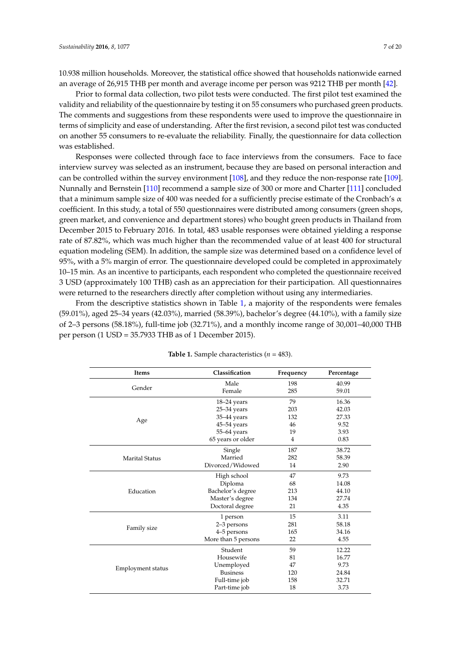10.938 million households. Moreover, the statistical office showed that households nationwide earned an average of 26,915 THB per month and average income per person was 9212 THB per month [\[42\]](#page-15-17).

Prior to formal data collection, two pilot tests were conducted. The first pilot test examined the validity and reliability of the questionnaire by testing it on 55 consumers who purchased green products. The comments and suggestions from these respondents were used to improve the questionnaire in terms of simplicity and ease of understanding. After the first revision, a second pilot test was conducted on another 55 consumers to re-evaluate the reliability. Finally, the questionnaire for data collection was established.

Responses were collected through face to face interviews from the consumers. Face to face interview survey was selected as an instrument, because they are based on personal interaction and can be controlled within the survey environment [\[108\]](#page-18-10), and they reduce the non-response rate [\[109\]](#page-18-11). Nunnally and Bernstein [\[110\]](#page-18-12) recommend a sample size of 300 or more and Charter [\[111\]](#page-18-13) concluded that a minimum sample size of 400 was needed for a sufficiently precise estimate of the Cronbach's α coefficient. In this study, a total of 550 questionnaires were distributed among consumers (green shops, green market, and convenience and department stores) who bought green products in Thailand from December 2015 to February 2016. In total, 483 usable responses were obtained yielding a response rate of 87.82%, which was much higher than the recommended value of at least 400 for structural equation modeling (SEM). In addition, the sample size was determined based on a confidence level of 95%, with a 5% margin of error. The questionnaire developed could be completed in approximately 10–15 min. As an incentive to participants, each respondent who completed the questionnaire received 3 USD (approximately 100 THB) cash as an appreciation for their participation. All questionnaires were returned to the researchers directly after completion without using any intermediaries.

From the descriptive statistics shown in Table [1,](#page-7-0) a majority of the respondents were females (59.01%), aged 25–34 years (42.03%), married (58.39%), bachelor's degree (44.10%), with a family size of 2–3 persons (58.18%), full-time job (32.71%), and a monthly income range of 30,001–40,000 THB per person (1 USD = 35.7933 THB as of 1 December 2015).

| Items                 | Classification      | Frequency | Percentage |
|-----------------------|---------------------|-----------|------------|
|                       | Male                | 198       | 40.99      |
| Gender                | Female              | 285       | 59.01      |
|                       | $18-24$ years       | 79        | 16.36      |
|                       | $25 - 34$ years     | 203       | 42.03      |
|                       | 35-44 years         | 132       | 27.33      |
| Age                   | 45-54 years         | 46        | 9.52       |
|                       | 55-64 years         | 19        | 3.93       |
|                       | 65 years or older   | 4         | 0.83       |
|                       | Single              | 187       | 38.72      |
| <b>Marital Status</b> | Married             | 282       | 58.39      |
|                       | Divorced/Widowed    | 14        | 2.90       |
|                       | High school         | 47        | 9.73       |
|                       | Diploma             | 68        | 14.08      |
| Education             | Bachelor's degree   | 213       | 44.10      |
|                       | Master's degree     | 134       | 27.74      |
|                       | Doctoral degree     | 21        | 4.35       |
|                       | 1 person            | 15        | 3.11       |
| Family size           | 2–3 persons         | 281       | 58.18      |
|                       | 4-5 persons         | 165       | 34.16      |
|                       | More than 5 persons | 22        | 4.55       |
|                       | Student             | 59        | 12.22      |
|                       | Housewife           | 81        | 16.77      |
|                       | Unemployed          | 47        | 9.73       |
| Employment status     | <b>Business</b>     | 120       | 24.84      |
|                       | Full-time job       | 158       | 32.71      |
|                       | Part-time job       | 18        | 3.73       |

|  |  | <b>Table 1.</b> Sample characteristics ( $n = 483$ ). |  |
|--|--|-------------------------------------------------------|--|
|--|--|-------------------------------------------------------|--|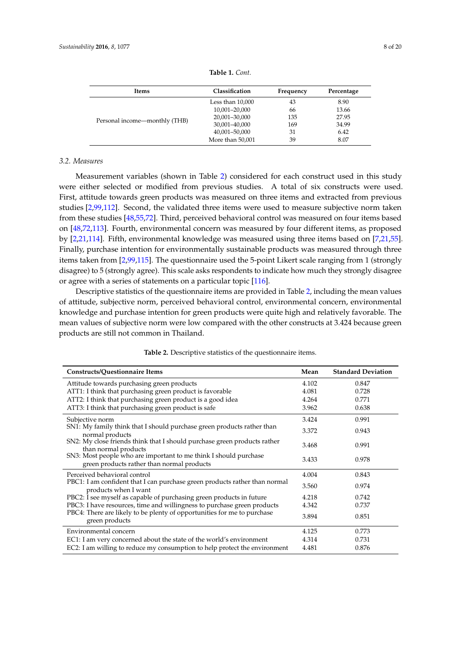<span id="page-7-0"></span>

| Items                         | Classification   | Frequency | Percentage |
|-------------------------------|------------------|-----------|------------|
|                               | Less than 10,000 | 43        | 8.90       |
|                               | 10,001-20,000    | 66        | 13.66      |
| Personal income—monthly (THB) | 20,001-30,000    | 135       | 27.95      |
|                               | 30,001-40,000    | 169       | 34.99      |
|                               | 40,001-50,000    | 31        | 6.42       |
|                               | More than 50,001 | 39        | 8.07       |

**Table 1.** *Cont.*

#### *3.2. Measures*

Measurement variables (shown in Table [2\)](#page-8-0) considered for each construct used in this study were either selected or modified from previous studies. A total of six constructs were used. First, attitude towards green products was measured on three items and extracted from previous studies [\[2](#page-14-1)[,99,](#page-18-2)[112\]](#page-18-14). Second, the validated three items were used to measure subjective norm taken from these studies [\[48,](#page-16-2)[55,](#page-16-9)[72\]](#page-17-0). Third, perceived behavioral control was measured on four items based on [\[48](#page-16-2)[,72](#page-17-0)[,113\]](#page-18-15). Fourth, environmental concern was measured by four different items, as proposed by [\[2,](#page-14-1)[21,](#page-14-18)[114\]](#page-18-16). Fifth, environmental knowledge was measured using three items based on [\[7,](#page-14-5)[21,](#page-14-18)[55\]](#page-16-9). Finally, purchase intention for environmentally sustainable products was measured through three items taken from [\[2,](#page-14-1)[99,](#page-18-2)[115\]](#page-18-17). The questionnaire used the 5-point Likert scale ranging from 1 (strongly disagree) to 5 (strongly agree). This scale asks respondents to indicate how much they strongly disagree or agree with a series of statements on a particular topic [\[116\]](#page-18-18).

Descriptive statistics of the questionnaire items are provided in Table [2,](#page-8-0) including the mean values of attitude, subjective norm, perceived behavioral control, environmental concern, environmental knowledge and purchase intention for green products were quite high and relatively favorable. The mean values of subjective norm were low compared with the other constructs at 3.424 because green products are still not common in Thailand.

| <b>Constructs/Questionnaire Items</b>                                                                          | Mean  | <b>Standard Deviation</b> |
|----------------------------------------------------------------------------------------------------------------|-------|---------------------------|
| Attitude towards purchasing green products                                                                     | 4.102 | 0.847                     |
| ATT1: I think that purchasing green product is favorable                                                       | 4.081 | 0.728                     |
| ATT2: I think that purchasing green product is a good idea                                                     | 4.264 | 0.771                     |
| ATT3: I think that purchasing green product is safe                                                            | 3.962 | 0.638                     |
| Subjective norm                                                                                                | 3.424 | 0.991                     |
| SN1: My family think that I should purchase green products rather than<br>normal products                      | 3.372 | 0.943                     |
| SN2: My close friends think that I should purchase green products rather<br>than normal products               | 3.468 | 0.991                     |
| SN3: Most people who are important to me think I should purchase<br>green products rather than normal products | 3.433 | 0.978                     |
| Perceived behavioral control                                                                                   | 4.004 | 0.843                     |
| PBC1: I am confident that I can purchase green products rather than normal<br>products when I want             | 3.560 | 0.974                     |
| PBC2: I see myself as capable of purchasing green products in future                                           | 4.218 | 0.742                     |
| PBC3: I have resources, time and willingness to purchase green products                                        | 4.342 | 0.737                     |
| PBC4: There are likely to be plenty of opportunities for me to purchase<br>green products                      | 3.894 | 0.851                     |
| Environmental concern                                                                                          | 4.125 | 0.773                     |
| EC1: I am very concerned about the state of the world's environment                                            | 4.314 | 0.731                     |
| EC2: I am willing to reduce my consumption to help protect the environment                                     | 4.481 | 0.876                     |

**Table 2.** Descriptive statistics of the questionnaire items.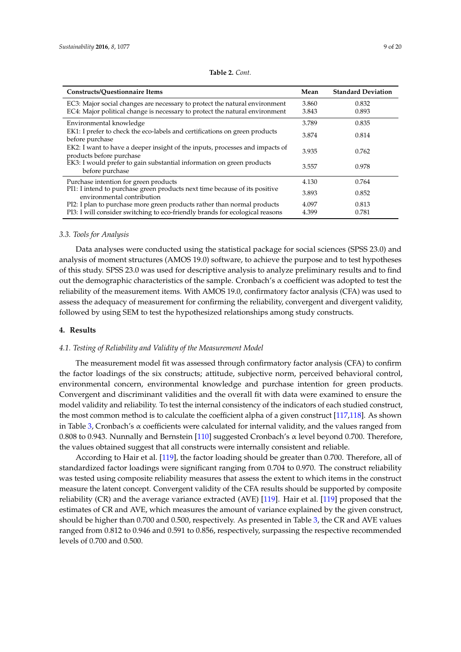<span id="page-8-0"></span>

| <b>Constructs/Ouestionnaire Items</b>                                                                    | Mean  | <b>Standard Deviation</b> |
|----------------------------------------------------------------------------------------------------------|-------|---------------------------|
| EC3: Major social changes are necessary to protect the natural environment                               | 3.860 | 0.832                     |
| EC4: Major political change is necessary to protect the natural environment                              | 3.843 | 0.893                     |
| Environmental knowledge                                                                                  | 3.789 | 0.835                     |
| EK1: I prefer to check the eco-labels and certifications on green products<br>before purchase            | 3.874 | 0.814                     |
| EK2: I want to have a deeper insight of the inputs, processes and impacts of<br>products before purchase | 3.935 | 0.762                     |
| EK3: I would prefer to gain substantial information on green products<br>before purchase                 | 3.557 | 0.978                     |
| Purchase intention for green products                                                                    | 4.130 | 0.764                     |
| PI1: I intend to purchase green products next time because of its positive<br>environmental contribution | 3.893 | 0.852                     |
| PI2: I plan to purchase more green products rather than normal products                                  | 4.097 | 0.813                     |
| PI3: I will consider switching to eco-friendly brands for ecological reasons                             | 4.399 | 0.781                     |

| Table 2. Cont. |  |
|----------------|--|
|----------------|--|

#### *3.3. Tools for Analysis*

Data analyses were conducted using the statistical package for social sciences (SPSS 23.0) and analysis of moment structures (AMOS 19.0) software, to achieve the purpose and to test hypotheses of this study. SPSS 23.0 was used for descriptive analysis to analyze preliminary results and to find out the demographic characteristics of the sample. Cronbach's  $\alpha$  coefficient was adopted to test the reliability of the measurement items. With AMOS 19.0, confirmatory factor analysis (CFA) was used to assess the adequacy of measurement for confirming the reliability, convergent and divergent validity, followed by using SEM to test the hypothesized relationships among study constructs.

#### **4. Results**

#### *4.1. Testing of Reliability and Validity of the Measurement Model*

The measurement model fit was assessed through confirmatory factor analysis (CFA) to confirm the factor loadings of the six constructs; attitude, subjective norm, perceived behavioral control, environmental concern, environmental knowledge and purchase intention for green products. Convergent and discriminant validities and the overall fit with data were examined to ensure the model validity and reliability. To test the internal consistency of the indicators of each studied construct, the most common method is to calculate the coefficient alpha of a given construct [\[117,](#page-18-19)[118\]](#page-18-20). As shown in Table [3,](#page-9-0) Cronbach's  $\alpha$  coefficients were calculated for internal validity, and the values ranged from 0.808 to 0.943. Nunnally and Bernstein [\[110\]](#page-18-12) suggested Cronbach's  $\alpha$  level beyond 0.700. Therefore, the values obtained suggest that all constructs were internally consistent and reliable.

According to Hair et al. [\[119\]](#page-18-21), the factor loading should be greater than 0.700. Therefore, all of standardized factor loadings were significant ranging from 0.704 to 0.970. The construct reliability was tested using composite reliability measures that assess the extent to which items in the construct measure the latent concept. Convergent validity of the CFA results should be supported by composite reliability (CR) and the average variance extracted (AVE) [\[119\]](#page-18-21). Hair et al. [\[119\]](#page-18-21) proposed that the estimates of CR and AVE, which measures the amount of variance explained by the given construct, should be higher than 0.700 and 0.500, respectively. As presented in Table [3,](#page-9-0) the CR and AVE values ranged from 0.812 to 0.946 and 0.591 to 0.856, respectively, surpassing the respective recommended levels of 0.700 and 0.500.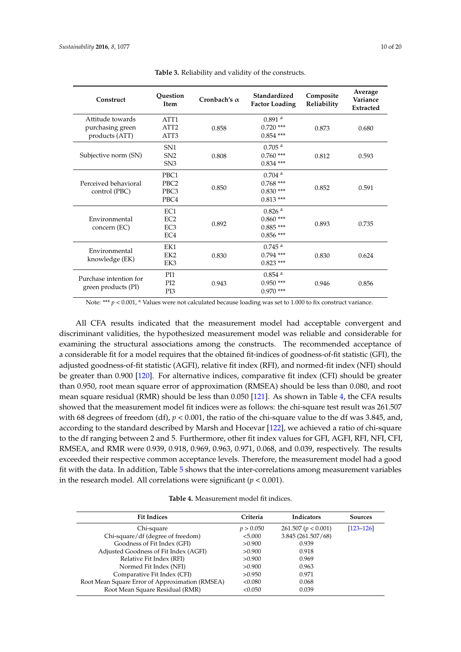<span id="page-9-0"></span>

| Construct                                              | Ouestion<br><b>Item</b>                                                                                       | Cronbach's $\alpha$ | Standardized<br><b>Factor Loading</b>                           | Composite<br>Reliability | Average<br>Variance<br><b>Extracted</b> |
|--------------------------------------------------------|---------------------------------------------------------------------------------------------------------------|---------------------|-----------------------------------------------------------------|--------------------------|-----------------------------------------|
| Attitude towards<br>purchasing green<br>products (ATT) | ATT <sub>1</sub><br>ATT <sub>2</sub><br>ATT3                                                                  | 0.858               | $0.891$ <sup>a</sup><br>$0.720$ ***<br>$0.854$ ***              | 0.873                    | 0.680                                   |
| Subjective norm (SN)                                   | SN <sub>1</sub><br>SN <sub>2</sub><br>SN <sub>3</sub>                                                         | 0.808               | $0.705$ <sup>a</sup><br>$0.760$ ***<br>$0.834$ ***              | 0.812                    | 0.593                                   |
| Perceived behavioral<br>control (PBC)                  | PBC <sub>1</sub><br>PBC <sub>2</sub><br>PBC <sub>3</sub><br>PBC4                                              | 0.850               | $0.704$ <sup>a</sup><br>$0.768$ ***<br>$0.830***$<br>$0.813***$ | 0.852                    | 0.591                                   |
| Environmental<br>concern (EC)                          | 0.826 <sup>a</sup><br>EC1<br>$0.860***$<br>EC2<br>0.892<br>$0.885***$<br>EC <sub>3</sub><br>EC4<br>$0.856***$ |                     |                                                                 | 0.893                    | 0.735                                   |
| Environmental<br>knowledge (EK)                        | EK1<br>EK <sub>2</sub><br>EK3                                                                                 | 0.830               | $0.745$ <sup>a</sup><br>$0.794$ ***<br>$0.823$ ***              | 0.830                    | 0.624                                   |
| Purchase intention for<br>green products (PI)          | PI <sub>1</sub><br>PI <sub>2</sub><br>PI3                                                                     | 0.943               | $0.854$ <sup>a</sup><br>$0.950***$<br>$0.970$ ***               | 0.946                    | 0.856                                   |

**Table 3.** Reliability and validity of the constructs.

Note: \*\*\*  $p < 0.001$ , <sup>a</sup> Values were not calculated because loading was set to 1.000 to fix construct variance.

All CFA results indicated that the measurement model had acceptable convergent and discriminant validities, the hypothesized measurement model was reliable and considerable for examining the structural associations among the constructs. The recommended acceptance of a considerable fit for a model requires that the obtained fit-indices of goodness-of-fit statistic (GFI), the adjusted goodness-of-fit statistic (AGFI), relative fit index (RFI), and normed-fit index (NFI) should be greater than 0.900 [\[120\]](#page-18-22). For alternative indices, comparative fit index (CFI) should be greater than 0.950, root mean square error of approximation (RMSEA) should be less than 0.080, and root mean square residual (RMR) should be less than 0.050 [\[121\]](#page-18-23). As shown in Table [4,](#page-9-1) the CFA results showed that the measurement model fit indices were as follows: the chi-square test result was 261.507 with 68 degrees of freedom (df), *p* < 0.001, the ratio of the chi-square value to the df was 3.845, and, according to the standard described by Marsh and Hocevar [\[122\]](#page-19-0), we achieved a ratio of chi-square to the df ranging between 2 and 5. Furthermore, other fit index values for GFI, AGFI, RFI, NFI, CFI, RMSEA, and RMR were 0.939, 0.918, 0.969, 0.963, 0.971, 0.068, and 0.039, respectively. The results exceeded their respective common acceptance levels. Therefore, the measurement model had a good fit with the data. In addition, Table [5](#page-10-0) shows that the inter-correlations among measurement variables in the research model. All correlations were significant  $(p < 0.001)$ .

|  |  |  | <b>Table 4.</b> Measurement model fit indices. |
|--|--|--|------------------------------------------------|

<span id="page-9-1"></span>

| <b>Fit Indices</b>                              | Criteria  | Indicators              | <b>Sources</b> |
|-------------------------------------------------|-----------|-------------------------|----------------|
| Chi-square                                      | p > 0.050 | 261.507 ( $p < 0.001$ ) | $[123 - 126]$  |
| Chi-square/df (degree of freedom)               | < 5.000   | 3.845(261.507/68)       |                |
| Goodness of Fit Index (GFI)                     | >0.900    | 0.939                   |                |
| Adjusted Goodness of Fit Index (AGFI)           | >0.900    | 0.918                   |                |
| Relative Fit Index (RFI)                        | >0.900    | 0.969                   |                |
| Normed Fit Index (NFI)                          | >0.900    | 0.963                   |                |
| Comparative Fit Index (CFI)                     | >0.950    | 0.971                   |                |
| Root Mean Square Error of Approximation (RMSEA) | < 0.080   | 0.068                   |                |
| Root Mean Square Residual (RMR)                 | < 0.050   | 0.039                   |                |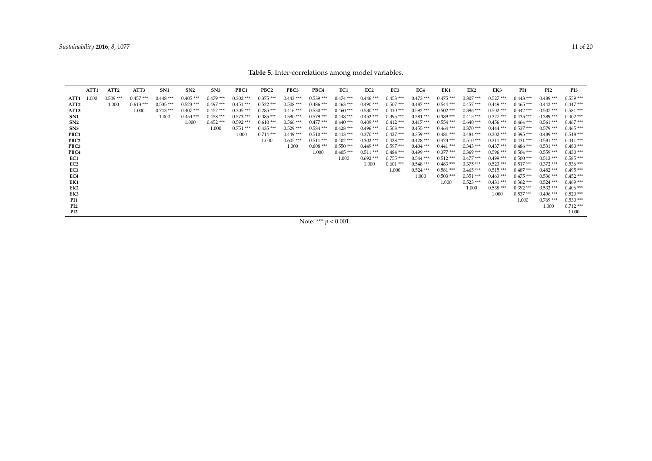**Table 5.** Inter-correlations among model variables.

<span id="page-10-0"></span>

|                  | ATT1  | ATT2        | ATT3       | SN <sub>1</sub> | SN2         | SN3         | PBC1        | PBC <sub>2</sub> | PBC3        | PBC4        | EC1         | EC <sub>2</sub> | EC3         | EC <sub>4</sub> | EK1         | EK <sub>2</sub> | EK3         | PI1         | PI2         | PI3         |
|------------------|-------|-------------|------------|-----------------|-------------|-------------|-------------|------------------|-------------|-------------|-------------|-----------------|-------------|-----------------|-------------|-----------------|-------------|-------------|-------------|-------------|
| ATT1             | 1.000 | $0.509$ *** | $0.457***$ | $0.448$ ***     | $0.405$ *** | $0.479$ *** | $0.302$ *** | $0.375***$       | $0.443$ *** | $0.539***$  | $0.474$ *** | $0.446$ ***     | $0.453***$  | $0.473$ ***     | $0.475***$  | $0.307***$      | $0.527***$  | $0.443$ *** | $0.489$ *** | $0.559$ *** |
| ATT <sub>2</sub> |       | 1.000       | $0.613***$ | $0.535***$      | $0.523$ *** | $0.497***$  | $0.451***$  | $0.522$ ***      | $0.508***$  | $0.486***$  | $0.463***$  | $0.490***$      | $0.507***$  | $0.487***$      | $0.544$ *** | $0.457***$      | $0.449***$  | $0.465***$  | $0.442$ *** | $0.447***$  |
| ATT3             |       |             | 1.000      | $0.713***$      | $0.407$ *** | $0.452$ *** | $0.305$ *** | $0.285***$       | $0.416***$  | $0.530***$  | $0.460$ *** | $0.530***$      | $0.410***$  | $0.592$ ***     | $0.502$ *** | $0.396$ ***     | $0.502$ *** | $0.342$ *** | $0.507$ *** | $0.581***$  |
| SN <sub>1</sub>  |       |             |            | 1.000           | $0.454$ *** | $0.458***$  | $0.573$ *** | $0.385***$       | $0.590***$  | $0.579$ *** | $0.448***$  | $0.452***$      | $0.395***$  | $0.381***$      | $0.389***$  | $0.415***$      | $0.327***$  | $0.435***$  | $0.389***$  | $0.402$ *** |
| SN2              |       |             |            |                 | 1.000       | $0.452***$  | $0.592$ *** | $0.610***$       | $0.566$ *** | $0.477***$  | $0.440$ *** | $0.409***$      | $0.412***$  | $0.417***$      | $0.554$ *** | $0.640$ ***     | $0.456***$  | $0.464$ *** | $0.561***$  | $0.467***$  |
| SN <sub>3</sub>  |       |             |            |                 |             | 1.000       | $0.751$ *** | $0.435***$       | $0.529$ *** | $0.584$ *** | $0.428***$  | $0.496$ ***     | $0.508***$  | $0.455***$      | $0.464$ *** | $0.370$ ***     | $0.444***$  | $0.537***$  | $0.579$ *** | $0.465***$  |
| PBC1             |       |             |            |                 |             |             | 1.000       | $0.714***$       | $0.449$ *** | $0.510***$  | $0.413***$  | $0.370$ ***     | $0.427***$  | $0.359***$      | $0.481***$  | $0.484$ ***     | $0.302$ *** | $0.395***$  | $0.489***$  | $0.548***$  |
| PBC <sub>2</sub> |       |             |            |                 |             |             |             | 1.000            | $0.605***$  | $0.511***$  | $0.402$ *** | $0.302$ ***     | $0.428$ *** | $0.428$ ***     | $0.473***$  | $0.510***$      | $0.311***$  | $0.431***$  | $0.581***$  | $0.441$ *** |
| PBC3             |       |             |            |                 |             |             |             |                  | 1.000       | $0.608***$  | $0.550***$  | $0.449***$      | $0.597***$  | $0.404$ ***     | $0.441$ *** | $0.343$ ***     | $0.437***$  | $0.486***$  | $0.531***$  | $0.480***$  |
| PBC4             |       |             |            |                 |             |             |             |                  |             | 1.000       | $0.405***$  | $0.511***$      | $0.484$ *** | $0.499***$      | $0.377***$  | $0.369***$      | $0.596$ *** | $0.504$ *** | $0.559***$  | $0.430***$  |
| EC1              |       |             |            |                 |             |             |             |                  |             |             | 1.000       | $0.692***$      | $0.755***$  | $0.544$ ***     | $0.512***$  | $0.477***$      | $0.499$ *** | $0.500$ *** | $0.513***$  | $0.585***$  |
| EC <sub>2</sub>  |       |             |            |                 |             |             |             |                  |             |             |             | 1.000           | $0.601***$  | $0.548***$      | $0.483***$  | $0.375***$      | $0.523$ *** | $0.517***$  | $0.372$ *** | $0.536***$  |
| EC3              |       |             |            |                 |             |             |             |                  |             |             |             |                 | 1.000       | $0.524$ ***     | $0.581***$  | $0.465***$      | $0.515***$  | $0.487***$  | $0.482***$  | $0.495***$  |
| EC <sub>4</sub>  |       |             |            |                 |             |             |             |                  |             |             |             |                 |             | 1.000           | $0.503$ *** | $0.351***$      | $0.463$ *** | $0.475***$  | $0.536$ *** | $0.452$ *** |
| EK1              |       |             |            |                 |             |             |             |                  |             |             |             |                 |             |                 | 1.000       | $0.523$ ***     | $0.431$ *** | $0.362$ *** | $0.524$ *** | $0.469***$  |
| EK <sub>2</sub>  |       |             |            |                 |             |             |             |                  |             |             |             |                 |             |                 |             | 1.000           | $0.538***$  | $0.392$ *** | $0.532***$  | $0.406***$  |
| EK3              |       |             |            |                 |             |             |             |                  |             |             |             |                 |             |                 |             |                 | 1.000       | $0.537***$  | $0.496$ *** | $0.520$ *** |
| PI1              |       |             |            |                 |             |             |             |                  |             |             |             |                 |             |                 |             |                 |             | 1.000       | $0.769***$  | $0.530***$  |
| PI <sub>2</sub>  |       |             |            |                 |             |             |             |                  |             |             |             |                 |             |                 |             |                 |             |             | 1.000       | $0.712***$  |
| PI3              |       |             |            |                 |             |             |             |                  |             |             |             |                 |             |                 |             |                 |             |             |             | 1.000       |
|                  |       |             |            |                 |             |             |             |                  |             |             |             |                 |             |                 |             |                 |             |             |             |             |

Note: \*\*\*  $p < 0.001$ .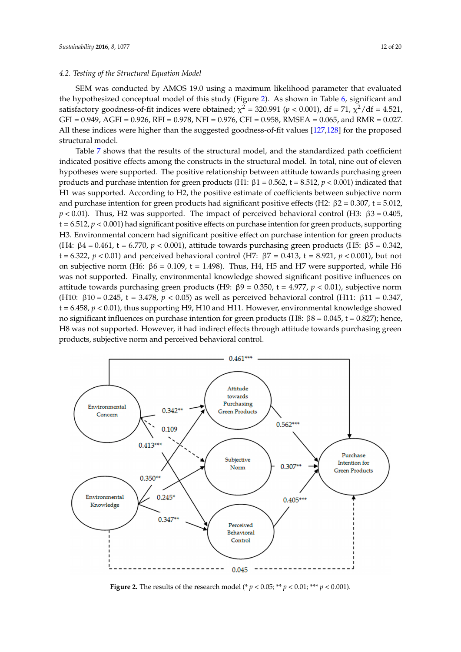# **4.2. Testing of the Structural Equation Model**

SEM was conducted by AMOS 19.0 using a maximum likelihood parameter that evaluated the hypothesized conceptual model of this study (Figure 2). As shown in Table [6,](#page-12-0) significant and satisfactory goodness-of-fit indices were obtained;  $\chi^2$  = 320.991 (*p* < 0.001), df = 71,  $\chi^2$ /df = 4.521, GFI = 0.949, AGFI = 0.926, RFI = 0.978, NFI = 0.976, CFI = 0.958, RMSEA = 0.065, and RMR = 0.027. All these indices were higher than the suggested goodness-of-fit values [\[127,](#page-19-3)[128\]](#page-19-4) for the proposed structural model. **indices were higher than the suggested goodness-of-fit values (127,128)** for the proposed structural model.

Table [7](#page-12-1) shows that the results of the structural model, and the standardized path coefficient indicated positive effects among the constructs in the structural model. In total, nine out of eleven hypotheses were supported. The positive relationship between attitude towards purchasing green products and purchase intention for green products (H1:  $β1 = 0.562$ , t = 8.512,  $p < 0.001$ ) indicated that **H1** was supported. According to H2, the positive estimate of coefficients between subjective norm and purchase intention for green products had significant positive effects (H2:  $\beta$ 2 = 0.307, t = 5.012,  $p < 0.01$ ). Thus, H2 was supported. The impact of perceived behavioral control (H3: β3 = 0.405, t = 6.512, *p* < 0.001) had significant positive effects on purchase intention for green products, supporting H3. Environmental concern had significant positive effect on purchase intention for green products 6.512, *p* < 0.001) had significant positive effects on purchase intention for green products, supporting (H4: β4 = 0.461, t = 6.770,  $p < 0.001$ ), attitude towards purchasing green products (H5: β5 = 0.342, t = 6.322,  $p < 0.01$ ) and perceived behavioral control (H7:  $\beta$ 7 = 0.413, t = 8.921,  $p < 0.001$ ), but not on subjective norm (H6:  $β6 = 0.109$ , t = 1.498). Thus, H4, H5 and H7 were supported, while H6 was not supported. Finally, environmental knowledge showed significant positive influences on attitude towards purchasing green products (H9: β9 = 0.350, t = 4.977,  $p < 0.01$ ), subjective norm (H10: β10 = 0.245, t = 3.478,  $p < 0.05$ ) as well as perceived behavioral control (H11: β11 = 0.347, t = 6.458,  $p < 0.01$ ), thus supporting H9, H10 and H11. However, environmental knowledge showed no significant influences on purchase intention for green products (H8: β8 = 0.045, t = 0.827); hence, H8 was not supported. However, it had indirect effects through attitude towards purchasing green products, subjective norm and perceived behavioral control. subjective norm and perceived behavioral control. (H<sub>4</sub>:  $p_1 = 0.461$ ,  $p_1 = 0.770$ ,  $p \times 0.001$ ), attitude towards purchasing green products (H5:  $p_0 = 0.542$ 

<span id="page-11-0"></span>

**Figure 2.** The results of the research model (\*  $p < 0.05$ ; \*\*  $p < 0.01$ ; \*\*\*  $p < 0.001$ ).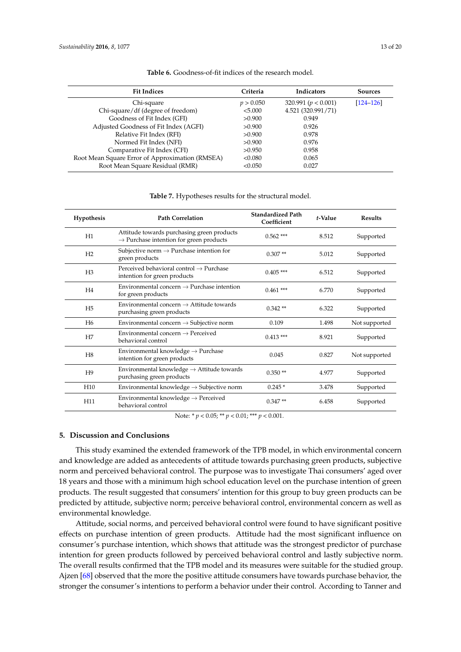<span id="page-12-0"></span>

| <b>Fit Indices</b>                              | Criteria  | Indicators              | <b>Sources</b> |
|-------------------------------------------------|-----------|-------------------------|----------------|
| Chi-square                                      | p > 0.050 | 320.991 ( $p < 0.001$ ) | $[124 - 126]$  |
| Chi-square/df (degree of freedom)               | < 5.000   | 4.521 (320.991/71)      |                |
| Goodness of Fit Index (GFI)                     | >0.900    | 0.949                   |                |
| Adjusted Goodness of Fit Index (AGFI)           | >0.900    | 0.926                   |                |
| Relative Fit Index (RFI)                        | >0.900    | 0.978                   |                |
| Normed Fit Index (NFI)                          | >0.900    | 0.976                   |                |
| Comparative Fit Index (CFI)                     | >0.950    | 0.958                   |                |
| Root Mean Square Error of Approximation (RMSEA) | < 0.080   | 0.065                   |                |
| Root Mean Square Residual (RMR)                 | < 0.050   | 0.027                   |                |

**Table 6.** Goodness-of-fit indices of the research model.

**Table 7.** Hypotheses results for the structural model.

<span id="page-12-1"></span>

| <b>Hypothesis</b> | <b>Path Correlation</b>                                                                           | <b>Standardized Path</b><br>Coefficient | t-Value | <b>Results</b> |
|-------------------|---------------------------------------------------------------------------------------------------|-----------------------------------------|---------|----------------|
| H1                | Attitude towards purchasing green products<br>$\rightarrow$ Purchase intention for green products | $0.562$ ***                             | 8.512   | Supported      |
| H2                | Subjective norm $\rightarrow$ Purchase intention for<br>green products                            | $0.307**$                               | 5.012   | Supported      |
| H <sub>3</sub>    | Perceived behavioral control $\rightarrow$ Purchase<br>intention for green products               | $0.405***$                              | 6.512   | Supported      |
| H4                | Environmental concern $\rightarrow$ Purchase intention<br>for green products                      | $0.461$ ***                             | 6.770   | Supported      |
| H <sub>5</sub>    | Environmental concern $\rightarrow$ Attitude towards<br>purchasing green products                 | $0.342**$                               | 6.322   | Supported      |
| H <sub>6</sub>    | Environmental concern $\rightarrow$ Subjective norm                                               | 0.109                                   | 1.498   | Not supported  |
| H7                | Environmental concern $\rightarrow$ Perceived<br>behavioral control                               | $0.413$ ***                             | 8.921   | Supported      |
| H8                | Environmental knowledge $\rightarrow$ Purchase<br>intention for green products                    | 0.045                                   | 0.827   | Not supported  |
| H9                | Environmental knowledge $\rightarrow$ Attitude towards<br>purchasing green products               | $0.350**$                               | 4.977   | Supported      |
| H <sub>10</sub>   | Environmental knowledge $\rightarrow$ Subjective norm                                             | $0.245*$                                | 3.478   | Supported      |
| H11               | Environmental knowledge $\rightarrow$ Perceived<br>behavioral control                             | $0.347**$                               | 6.458   | Supported      |

Note: \* *p* < 0.05; \*\* *p* < 0.01; \*\*\* *p* < 0.001.

### **5. Discussion and Conclusions**

This study examined the extended framework of the TPB model, in which environmental concern and knowledge are added as antecedents of attitude towards purchasing green products, subjective norm and perceived behavioral control. The purpose was to investigate Thai consumers' aged over 18 years and those with a minimum high school education level on the purchase intention of green products. The result suggested that consumers' intention for this group to buy green products can be predicted by attitude, subjective norm; perceive behavioral control, environmental concern as well as environmental knowledge.

Attitude, social norms, and perceived behavioral control were found to have significant positive effects on purchase intention of green products. Attitude had the most significant influence on consumer's purchase intention, which shows that attitude was the strongest predictor of purchase intention for green products followed by perceived behavioral control and lastly subjective norm. The overall results confirmed that the TPB model and its measures were suitable for the studied group. Ajzen [\[68\]](#page-16-21) observed that the more the positive attitude consumers have towards purchase behavior, the stronger the consumer's intentions to perform a behavior under their control. According to Tanner and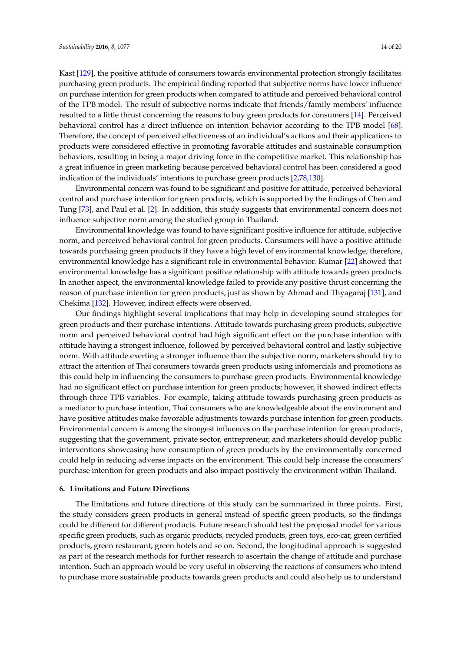Kast [\[129\]](#page-19-6), the positive attitude of consumers towards environmental protection strongly facilitates purchasing green products. The empirical finding reported that subjective norms have lower influence on purchase intention for green products when compared to attitude and perceived behavioral control of the TPB model. The result of subjective norms indicate that friends/family members' influence resulted to a little thrust concerning the reasons to buy green products for consumers [\[14\]](#page-14-12). Perceived behavioral control has a direct influence on intention behavior according to the TPB model [\[68\]](#page-16-21). Therefore, the concept of perceived effectiveness of an individual's actions and their applications to products were considered effective in promoting favorable attitudes and sustainable consumption behaviors, resulting in being a major driving force in the competitive market. This relationship has a great influence in green marketing because perceived behavioral control has been considered a good indication of the individuals' intentions to purchase green products [\[2,](#page-14-1)[78](#page-17-6)[,130\]](#page-19-7).

Environmental concern was found to be significant and positive for attitude, perceived behavioral control and purchase intention for green products, which is supported by the findings of Chen and Tung [\[73\]](#page-17-1), and Paul et al. [\[2\]](#page-14-1). In addition, this study suggests that environmental concern does not influence subjective norm among the studied group in Thailand.

Environmental knowledge was found to have significant positive influence for attitude, subjective norm, and perceived behavioral control for green products. Consumers will have a positive attitude towards purchasing green products if they have a high level of environmental knowledge; therefore, environmental knowledge has a significant role in environmental behavior. Kumar [\[22\]](#page-15-0) showed that environmental knowledge has a significant positive relationship with attitude towards green products. In another aspect, the environmental knowledge failed to provide any positive thrust concerning the reason of purchase intention for green products, just as shown by Ahmad and Thyagaraj [\[131\]](#page-19-8), and Chekima [\[132\]](#page-19-9). However, indirect effects were observed.

Our findings highlight several implications that may help in developing sound strategies for green products and their purchase intentions. Attitude towards purchasing green products, subjective norm and perceived behavioral control had high significant effect on the purchase intention with attitude having a strongest influence, followed by perceived behavioral control and lastly subjective norm. With attitude exerting a stronger influence than the subjective norm, marketers should try to attract the attention of Thai consumers towards green products using infomercials and promotions as this could help in influencing the consumers to purchase green products. Environmental knowledge had no significant effect on purchase intention for green products; however, it showed indirect effects through three TPB variables. For example, taking attitude towards purchasing green products as a mediator to purchase intention, Thai consumers who are knowledgeable about the environment and have positive attitudes make favorable adjustments towards purchase intention for green products. Environmental concern is among the strongest influences on the purchase intention for green products, suggesting that the government, private sector, entrepreneur, and marketers should develop public interventions showcasing how consumption of green products by the environmentally concerned could help in reducing adverse impacts on the environment. This could help increase the consumers' purchase intention for green products and also impact positively the environment within Thailand.

#### **6. Limitations and Future Directions**

The limitations and future directions of this study can be summarized in three points. First, the study considers green products in general instead of specific green products, so the findings could be different for different products. Future research should test the proposed model for various specific green products, such as organic products, recycled products, green toys, eco-car, green certified products, green restaurant, green hotels and so on. Second, the longitudinal approach is suggested as part of the research methods for further research to ascertain the change of attitude and purchase intention. Such an approach would be very useful in observing the reactions of consumers who intend to purchase more sustainable products towards green products and could also help us to understand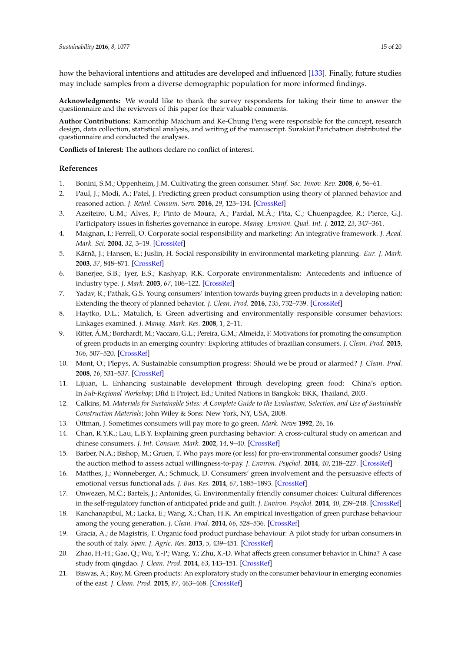how the behavioral intentions and attitudes are developed and influenced [\[133\]](#page-19-10). Finally, future studies may include samples from a diverse demographic population for more informed findings.

**Acknowledgments:** We would like to thank the survey respondents for taking their time to answer the questionnaire and the reviewers of this paper for their valuable comments.

**Author Contributions:** Kamonthip Maichum and Ke-Chung Peng were responsible for the concept, research design, data collection, statistical analysis, and writing of the manuscript. Surakiat Parichatnon distributed the questionnaire and conducted the analyses.

**Conflicts of Interest:** The authors declare no conflict of interest.

#### **References**

- <span id="page-14-0"></span>1. Bonini, S.M.; Oppenheim, J.M. Cultivating the green consumer. *Stanf. Soc. Innov. Rev.* **2008**, *6*, 56–61.
- <span id="page-14-1"></span>2. Paul, J.; Modi, A.; Patel, J. Predicting green product consumption using theory of planned behavior and reasoned action. *J. Retail. Consum. Serv.* **2016**, *29*, 123–134. [\[CrossRef\]](http://dx.doi.org/10.1016/j.jretconser.2015.11.006)
- <span id="page-14-2"></span>3. Azeiteiro, U.M.; Alves, F.; Pinto de Moura, A.; Pardal, M.Â.; Pita, C.; Chuenpagdee, R.; Pierce, G.J. Participatory issues in fisheries governance in europe. *Manag. Environ. Qual. Int. J.* **2012**, *23*, 347–361.
- <span id="page-14-3"></span>4. Maignan, I.; Ferrell, O. Corporate social responsibility and marketing: An integrative framework. *J. Acad. Mark. Sci.* **2004**, *32*, 3–19. [\[CrossRef\]](http://dx.doi.org/10.1177/0092070303258971)
- 5. Kärnä, J.; Hansen, E.; Juslin, H. Social responsibility in environmental marketing planning. *Eur. J. Mark.* **2003**, *37*, 848–871. [\[CrossRef\]](http://dx.doi.org/10.1108/03090560310465170)
- <span id="page-14-4"></span>6. Banerjee, S.B.; Iyer, E.S.; Kashyap, R.K. Corporate environmentalism: Antecedents and influence of industry type. *J. Mark.* **2003**, *67*, 106–122. [\[CrossRef\]](http://dx.doi.org/10.1509/jmkg.67.2.106.18604)
- <span id="page-14-5"></span>7. Yadav, R.; Pathak, G.S. Young consumers' intention towards buying green products in a developing nation: Extending the theory of planned behavior. *J. Clean. Prod.* **2016**, *135*, 732–739. [\[CrossRef\]](http://dx.doi.org/10.1016/j.jclepro.2016.06.120)
- <span id="page-14-6"></span>8. Haytko, D.L.; Matulich, E. Green advertising and environmentally responsible consumer behaviors: Linkages examined. *J. Manag. Mark. Res.* **2008**, *1*, 2–11.
- <span id="page-14-7"></span>9. Ritter, Á.M.; Borchardt, M.; Vaccaro, G.L.; Pereira, G.M.; Almeida, F. Motivations for promoting the consumption of green products in an emerging country: Exploring attitudes of brazilian consumers. *J. Clean. Prod.* **2015**, *106*, 507–520. [\[CrossRef\]](http://dx.doi.org/10.1016/j.jclepro.2014.11.066)
- <span id="page-14-8"></span>10. Mont, O.; Plepys, A. Sustainable consumption progress: Should we be proud or alarmed? *J. Clean. Prod.* **2008**, *16*, 531–537. [\[CrossRef\]](http://dx.doi.org/10.1016/j.jclepro.2007.01.009)
- <span id="page-14-9"></span>11. Lijuan, L. Enhancing sustainable development through developing green food: China's option. In *Sub-Regional Workshop*; Dfid Ii Project, Ed.; United Nations in Bangkok: BKK, Thailand, 2003.
- <span id="page-14-10"></span>12. Calkins, M. *Materials for Sustainable Sites: A Complete Guide to the Evaluation, Selection, and Use of Sustainable Construction Materials*; John Wiley & Sons: New York, NY, USA, 2008.
- <span id="page-14-11"></span>13. Ottman, J. Sometimes consumers will pay more to go green. *Mark. News* **1992**, *26*, 16.
- <span id="page-14-12"></span>14. Chan, R.Y.K.; Lau, L.B.Y. Explaining green purchasing behavior: A cross-cultural study on american and chinese consumers. *J. Int. Consum. Mark.* **2002**, *14*, 9–40. [\[CrossRef\]](http://dx.doi.org/10.1300/J046v14n02_02)
- <span id="page-14-13"></span>15. Barber, N.A.; Bishop, M.; Gruen, T. Who pays more (or less) for pro-environmental consumer goods? Using the auction method to assess actual willingness-to-pay. *J. Environ. Psychol.* **2014**, *40*, 218–227. [\[CrossRef\]](http://dx.doi.org/10.1016/j.jenvp.2014.06.010)
- 16. Matthes, J.; Wonneberger, A.; Schmuck, D. Consumers' green involvement and the persuasive effects of emotional versus functional ads. *J. Bus. Res.* **2014**, *67*, 1885–1893. [\[CrossRef\]](http://dx.doi.org/10.1016/j.jbusres.2013.11.054)
- <span id="page-14-14"></span>17. Onwezen, M.C.; Bartels, J.; Antonides, G. Environmentally friendly consumer choices: Cultural differences in the self-regulatory function of anticipated pride and guilt. *J. Environ. Psychol.* **2014**, *40*, 239–248. [\[CrossRef\]](http://dx.doi.org/10.1016/j.jenvp.2014.07.003)
- <span id="page-14-15"></span>18. Kanchanapibul, M.; Lacka, E.; Wang, X.; Chan, H.K. An empirical investigation of green purchase behaviour among the young generation. *J. Clean. Prod.* **2014**, *66*, 528–536. [\[CrossRef\]](http://dx.doi.org/10.1016/j.jclepro.2013.10.062)
- <span id="page-14-16"></span>19. Gracia, A.; de Magistris, T. Organic food product purchase behaviour: A pilot study for urban consumers in the south of italy. *Span. J. Agric. Res.* **2013**, *5*, 439–451. [\[CrossRef\]](http://dx.doi.org/10.5424/sjar/2007054-5356)
- <span id="page-14-17"></span>20. Zhao, H.-H.; Gao, Q.; Wu, Y.-P.; Wang, Y.; Zhu, X.-D. What affects green consumer behavior in China? A case study from qingdao. *J. Clean. Prod.* **2014**, *63*, 143–151. [\[CrossRef\]](http://dx.doi.org/10.1016/j.jclepro.2013.05.021)
- <span id="page-14-18"></span>21. Biswas, A.; Roy, M. Green products: An exploratory study on the consumer behaviour in emerging economies of the east. *J. Clean. Prod.* **2015**, *87*, 463–468. [\[CrossRef\]](http://dx.doi.org/10.1016/j.jclepro.2014.09.075)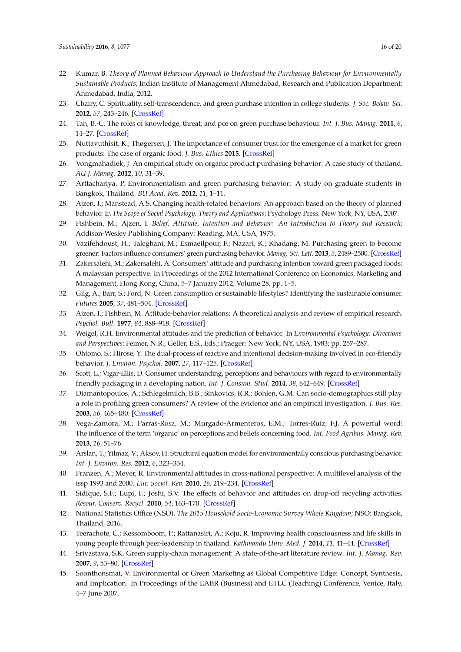- <span id="page-15-0"></span>22. Kumar, B. *Theory of Planned Behaviour Approach to Understand the Purchasing Behaviour for Environmentally Sustainable Products*; Indian Institute of Management Ahmedabad, Research and Publication Department: Ahmedabad, India, 2012.
- <span id="page-15-1"></span>23. Chairy, C. Spirituality, self-transcendence, and green purchase intention in college students. *J. Soc. Behav. Sci.* **2012**, *57*, 243–246. [\[CrossRef\]](http://dx.doi.org/10.1016/j.sbspro.2012.09.1181)
- <span id="page-15-2"></span>24. Tan, B.-C. The roles of knowledge, threat, and pce on green purchase behaviour. *Int. J. Bus. Manag.* **2011**, *6*, 14–27. [\[CrossRef\]](http://dx.doi.org/10.5539/ijbm.v6n12p14)
- <span id="page-15-3"></span>25. Nuttavuthisit, K.; Thøgersen, J. The importance of consumer trust for the emergence of a market for green products: The case of organic food. *J. Bus. Ethics* **2015**. [\[CrossRef\]](http://dx.doi.org/10.1007/s10551-015-2690-5)
- 26. Vongmahadlek, J. An empirical study on organic product purchasing behavior: A case study of thailand. *AU J. Manag.* **2012**, *10*, 31–39.
- <span id="page-15-4"></span>27. Arttachariya, P. Environmentalism and green purchasing behavior: A study on graduate students in Bangkok, Thailand. *BU Acad. Rev.* **2012**, *11*, 1–11.
- <span id="page-15-5"></span>28. Ajzen, I.; Manstead, A.S. Changing health-related behaviors: An approach based on the theory of planned behavior. In *The Scope of Social Psychology: Theory and Applications*; Psychology Press: New York, NY, USA, 2007.
- <span id="page-15-6"></span>29. Fishbein, M.; Ajzen, I. *Belief, Attitude, Intention and Behavior: An Introduction to Theory and Research*; Addison-Wesley Publishing Company: Reading, MA, USA, 1975.
- <span id="page-15-7"></span>30. Vazifehdoust, H.; Taleghani, M.; Esmaeilpour, F.; Nazari, K.; Khadang, M. Purchasing green to become greener: Factors influence consumers' green purchasing behavior. *Manag. Sci. Lett.* **2013**, *3*, 2489–2500. [\[CrossRef\]](http://dx.doi.org/10.5267/j.msl.2013.08.013)
- <span id="page-15-8"></span>31. Zakersalehi, M.; Zakersalehi, A. Consumers' attitude and purchasing intention toward green packaged foods: A malaysian perspective. In Proceedings of the 2012 International Conference on Economics, Marketing and Management, Hong Kong, China, 5–7 January 2012; Volume 28, pp. 1–5.
- <span id="page-15-9"></span>32. Gilg, A.; Barr, S.; Ford, N. Green consumption or sustainable lifestyles? Identifying the sustainable consumer. *Futures* **2005**, *37*, 481–504. [\[CrossRef\]](http://dx.doi.org/10.1016/j.futures.2004.10.016)
- <span id="page-15-10"></span>33. Ajzen, I.; Fishbein, M. Attitude-behavior relations: A theoretical analysis and review of empirical research. *Psychol. Bull.* **1977**, *84*, 888–918. [\[CrossRef\]](http://dx.doi.org/10.1037/0033-2909.84.5.888)
- <span id="page-15-11"></span>34. Weigel, R.H. Environmental attitudes and the prediction of behavior. In *Environmental Psychology: Directions and Perspectives*; Feimer, N.R., Geller, E.S., Eds.; Praeger: New York, NY, USA, 1983; pp. 257–287.
- <span id="page-15-12"></span>35. Ohtomo, S.; Hirose, Y. The dual-process of reactive and intentional decision-making involved in eco-friendly behavior. *J. Environ. Psychol.* **2007**, *27*, 117–125. [\[CrossRef\]](http://dx.doi.org/10.1016/j.jenvp.2007.01.005)
- <span id="page-15-13"></span>36. Scott, L.; Vigar-Ellis, D. Consumer understanding, perceptions and behaviours with regard to environmentally friendly packaging in a developing nation. *Int. J. Consum. Stud.* **2014**, *38*, 642–649. [\[CrossRef\]](http://dx.doi.org/10.1111/ijcs.12136)
- <span id="page-15-14"></span>37. Diamantopoulos, A.; Schlegelmilch, B.B.; Sinkovics, R.R.; Bohlen, G.M. Can socio-demographics still play a role in profiling green consumers? A review of the evidence and an empirical investigation. *J. Bus. Res.* **2003**, *56*, 465–480. [\[CrossRef\]](http://dx.doi.org/10.1016/S0148-2963(01)00241-7)
- <span id="page-15-15"></span>38. Vega-Zamora, M.; Parras-Rosa, M.; Murgado-Armenteros, E.M.; Torres-Ruiz, F.J. A powerful word: The influence of the term 'organic' on perceptions and beliefs concerning food. *Int. Food Agribus. Manag. Rev.* **2013**, *16*, 51–76.
- 39. Arslan, T.; Yilmaz, V.; Aksoy, H. Structural equation model for environmentally conscious purchasing behavior. *Int. J. Environ. Res.* **2012**, *6*, 323–334.
- 40. Franzen, A.; Meyer, R. Environmental attitudes in cross-national perspective: A multilevel analysis of the issp 1993 and 2000. *Eur. Sociol. Rev.* **2010**, *26*, 219–234. [\[CrossRef\]](http://dx.doi.org/10.1093/esr/jcp018)
- <span id="page-15-16"></span>41. Sidique, S.F.; Lupi, F.; Joshi, S.V. The effects of behavior and attitudes on drop-off recycling activities. *Resour. Conserv. Recycl.* **2010**, *54*, 163–170. [\[CrossRef\]](http://dx.doi.org/10.1016/j.resconrec.2009.07.012)
- <span id="page-15-17"></span>42. National Statistics Office (NSO). *The 2015 Household Socio-Economic Survey Whole Kingdom*; NSO: Bangkok, Thailand, 2016.
- <span id="page-15-18"></span>43. Teerachote, C.; Kessomboom, P.; Rattanasiri, A.; Koju, R. Improving health consciousness and life skills in young people through peer-leadership in thailand. *Kathmandu Univ. Med. J.* **2014**, *11*, 41–44. [\[CrossRef\]](http://dx.doi.org/10.3126/kumj.v11i1.11025)
- <span id="page-15-19"></span>44. Srivastava, S.K. Green supply-chain management: A state-of-the-art literature review. *Int. J. Manag. Rev.* **2007**, *9*, 53–80. [\[CrossRef\]](http://dx.doi.org/10.1111/j.1468-2370.2007.00202.x)
- <span id="page-15-20"></span>45. Soonthonsmai, V. Environmental or Green Marketing as Global Competitive Edge: Concept, Synthesis, and Implication. In Proceedings of the EABR (Business) and ETLC (Teaching) Conference, Venice, Italy, 4–7 June 2007.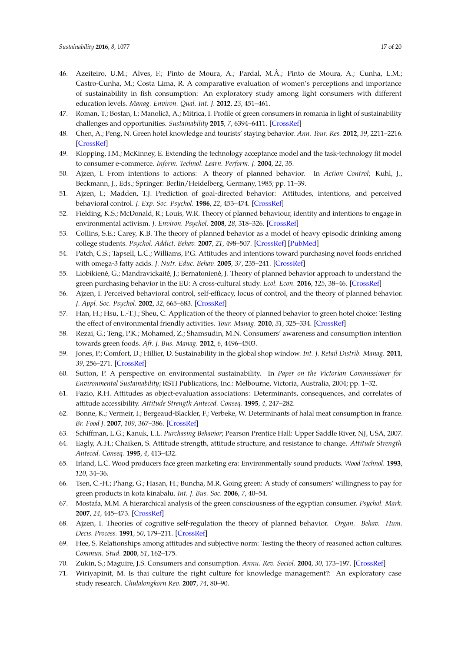- <span id="page-16-0"></span>46. Azeiteiro, U.M.; Alves, F.; Pinto de Moura, A.; Pardal, M.Â.; Pinto de Moura, A.; Cunha, L.M.; Castro-Cunha, M.; Costa Lima, R. A comparative evaluation of women's perceptions and importance of sustainability in fish consumption: An exploratory study among light consumers with different education levels. *Manag. Environ. Qual. Int. J.* **2012**, *23*, 451–461.
- <span id="page-16-1"></span>47. Roman, T.; Bostan, I.; Manolică, A.; Mitrica, I. Profile of green consumers in romania in light of sustainability challenges and opportunities. *Sustainability* **2015**, *7*, 6394–6411. [\[CrossRef\]](http://dx.doi.org/10.3390/su7066394)
- <span id="page-16-2"></span>48. Chen, A.; Peng, N. Green hotel knowledge and tourists' staying behavior. *Ann. Tour. Res.* **2012**, *39*, 2211–2216. [\[CrossRef\]](http://dx.doi.org/10.1016/j.annals.2012.07.003)
- <span id="page-16-3"></span>49. Klopping, I.M.; McKinney, E. Extending the technology acceptance model and the task-technology fit model to consumer e-commerce. *Inform. Technol. Learn. Perform. J.* **2004**, *22*, 35.
- <span id="page-16-4"></span>50. Ajzen, I. From intentions to actions: A theory of planned behavior. In *Action Control*; Kuhl, J., Beckmann, J., Eds.; Springer: Berlin/Heidelberg, Germany, 1985; pp. 11–39.
- <span id="page-16-5"></span>51. Ajzen, I.; Madden, T.J. Prediction of goal-directed behavior: Attitudes, intentions, and perceived behavioral control. *J. Exp. Soc. Psychol.* **1986**, *22*, 453–474. [\[CrossRef\]](http://dx.doi.org/10.1016/0022-1031(86)90045-4)
- <span id="page-16-6"></span>52. Fielding, K.S.; McDonald, R.; Louis, W.R. Theory of planned behaviour, identity and intentions to engage in environmental activism. *J. Environ. Psychol.* **2008**, *28*, 318–326. [\[CrossRef\]](http://dx.doi.org/10.1016/j.jenvp.2008.03.003)
- <span id="page-16-7"></span>53. Collins, S.E.; Carey, K.B. The theory of planned behavior as a model of heavy episodic drinking among college students. *Psychol. Addict. Behav.* **2007**, *21*, 498–507. [\[CrossRef\]](http://dx.doi.org/10.1037/0893-164X.21.4.498) [\[PubMed\]](http://www.ncbi.nlm.nih.gov/pubmed/18072832)
- <span id="page-16-8"></span>54. Patch, C.S.; Tapsell, L.C.; Williams, P.G. Attitudes and intentions toward purchasing novel foods enriched with omega-3 fatty acids. *J. Nutr. Educ. Behav.* **2005**, *37*, 235–241. [\[CrossRef\]](http://dx.doi.org/10.1016/S1499-4046(06)60277-7)
- <span id="page-16-9"></span>55. Liobikienė, G.; Mandravickaitė, J.; Bernatonienė, J. Theory of planned behavior approach to understand the green purchasing behavior in the EU: A cross-cultural study. *Ecol. Econ.* **2016**, *125*, 38–46. [\[CrossRef\]](http://dx.doi.org/10.1016/j.ecolecon.2016.02.008)
- <span id="page-16-10"></span>56. Ajzen, I. Perceived behavioral control, self-efficacy, locus of control, and the theory of planned behavior. *J. Appl. Soc. Psychol.* **2002**, *32*, 665–683. [\[CrossRef\]](http://dx.doi.org/10.1111/j.1559-1816.2002.tb00236.x)
- <span id="page-16-11"></span>57. Han, H.; Hsu, L.-T.J.; Sheu, C. Application of the theory of planned behavior to green hotel choice: Testing the effect of environmental friendly activities. *Tour. Manag.* **2010**, *31*, 325–334. [\[CrossRef\]](http://dx.doi.org/10.1016/j.tourman.2009.03.013)
- <span id="page-16-12"></span>58. Rezai, G.; Teng, P.K.; Mohamed, Z.; Shamsudin, M.N. Consumers' awareness and consumption intention towards green foods. *Afr. J. Bus. Manag.* **2012**, *6*, 4496–4503.
- <span id="page-16-13"></span>59. Jones, P.; Comfort, D.; Hillier, D. Sustainability in the global shop window. *Int. J. Retail Distrib. Manag.* **2011**, *39*, 256–271. [\[CrossRef\]](http://dx.doi.org/10.1108/09590551111117536)
- <span id="page-16-14"></span>60. Sutton, P. A perspective on environmental sustainability. In *Paper on the Victorian Commissioner for Environmental Sustainability*; RSTI Publications, Inc.: Melbourne, Victoria, Australia, 2004; pp. 1–32.
- <span id="page-16-15"></span>61. Fazio, R.H. Attitudes as object-evaluation associations: Determinants, consequences, and correlates of attitude accessibility. *Attitude Strength Anteced. Conseq.* **1995**, *4*, 247–282.
- <span id="page-16-16"></span>62. Bonne, K.; Vermeir, I.; Bergeaud-Blackler, F.; Verbeke, W. Determinants of halal meat consumption in france. *Br. Food J.* **2007**, *109*, 367–386. [\[CrossRef\]](http://dx.doi.org/10.1108/0070700710746786)
- 63. Schiffman, L.G.; Kanuk, L.L. *Purchasing Behavior*; Pearson Prentice Hall: Upper Saddle River, NJ, USA, 2007.
- <span id="page-16-17"></span>64. Eagly, A.H.; Chaiken, S. Attitude strength, attitude structure, and resistance to change. *Attitude Strength Anteced. Conseq.* **1995**, *4*, 413–432.
- <span id="page-16-18"></span>65. Irland, L.C. Wood producers face green marketing era: Environmentally sound products. *Wood Technol.* **1993**, *120*, 34–36.
- <span id="page-16-19"></span>66. Tsen, C.-H.; Phang, G.; Hasan, H.; Buncha, M.R. Going green: A study of consumers' willingness to pay for green products in kota kinabalu. *Int. J. Bus. Soc.* **2006**, *7*, 40–54.
- <span id="page-16-20"></span>67. Mostafa, M.M. A hierarchical analysis of the green consciousness of the egyptian consumer. *Psychol. Mark.* **2007**, *24*, 445–473. [\[CrossRef\]](http://dx.doi.org/10.1002/mar.20168)
- <span id="page-16-21"></span>68. Ajzen, I. Theories of cognitive self-regulation the theory of planned behavior. *Organ. Behav. Hum. Decis. Process.* **1991**, *50*, 179–211. [\[CrossRef\]](http://dx.doi.org/10.1016/0749-5978(91)90020-T)
- <span id="page-16-22"></span>69. Hee, S. Relationships among attitudes and subjective norm: Testing the theory of reasoned action cultures. *Commun. Stud.* **2000**, *51*, 162–175.
- <span id="page-16-23"></span>70. Zukin, S.; Maguire, J.S. Consumers and consumption. *Annu. Rev. Sociol.* **2004**, *30*, 173–197. [\[CrossRef\]](http://dx.doi.org/10.1146/annurev.soc.30.012703.110553)
- <span id="page-16-24"></span>71. Wiriyapinit, M. Is thai culture the right culture for knowledge management?: An exploratory case study research. *Chulalongkorn Rev.* **2007**, *74*, 80–90.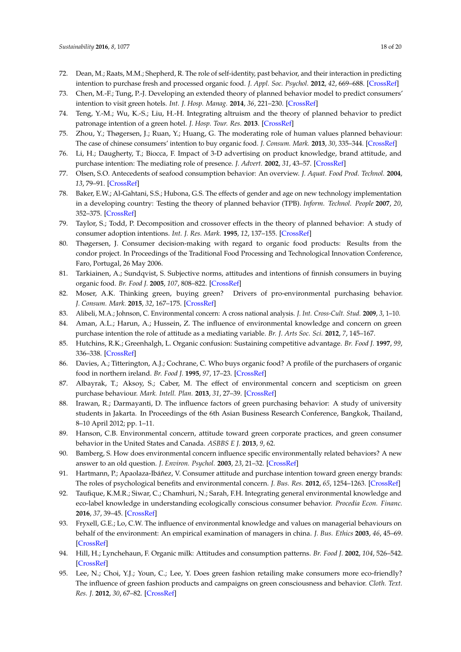- <span id="page-17-0"></span>72. Dean, M.; Raats, M.M.; Shepherd, R. The role of self-identity, past behavior, and their interaction in predicting intention to purchase fresh and processed organic food. *J. Appl. Soc. Psychol.* **2012**, *42*, 669–688. [\[CrossRef\]](http://dx.doi.org/10.1111/j.1559-1816.2011.00796.x)
- <span id="page-17-1"></span>73. Chen, M.-F.; Tung, P.-J. Developing an extended theory of planned behavior model to predict consumers' intention to visit green hotels. *Int. J. Hosp. Manag.* **2014**, *36*, 221–230. [\[CrossRef\]](http://dx.doi.org/10.1016/j.ijhm.2013.09.006)
- <span id="page-17-2"></span>74. Teng, Y.-M.; Wu, K.-S.; Liu, H.-H. Integrating altruism and the theory of planned behavior to predict patronage intention of a green hotel. *J. Hosp. Tour. Res.* **2013**. [\[CrossRef\]](http://dx.doi.org/10.1177/1096348012471383)
- <span id="page-17-3"></span>75. Zhou, Y.; Thøgersen, J.; Ruan, Y.; Huang, G. The moderating role of human values planned behaviour: The case of chinese consumers' intention to buy organic food. *J. Consum. Mark.* **2013**, *30*, 335–344. [\[CrossRef\]](http://dx.doi.org/10.1108/JCM-02-2013-0482)
- <span id="page-17-4"></span>76. Li, H.; Daugherty, T.; Biocca, F. Impact of 3-D advertising on product knowledge, brand attitude, and purchase intention: The mediating role of presence. *J. Advert.* **2002**, *31*, 43–57. [\[CrossRef\]](http://dx.doi.org/10.1080/00913367.2002.10673675)
- <span id="page-17-5"></span>77. Olsen, S.O. Antecedents of seafood consumption behavior: An overview. *J. Aquat. Food Prod. Technol.* **2004**, *13*, 79–91. [\[CrossRef\]](http://dx.doi.org/10.1300/J030v13n03_08)
- <span id="page-17-6"></span>78. Baker, E.W.; Al-Gahtani, S.S.; Hubona, G.S. The effects of gender and age on new technology implementation in a developing country: Testing the theory of planned behavior (TPB). *Inform. Technol. People* **2007**, *20*, 352–375. [\[CrossRef\]](http://dx.doi.org/10.1108/09593840710839798)
- <span id="page-17-7"></span>79. Taylor, S.; Todd, P. Decomposition and crossover effects in the theory of planned behavior: A study of consumer adoption intentions. *Int. J. Res. Mark.* **1995**, *12*, 137–155. [\[CrossRef\]](http://dx.doi.org/10.1016/0167-8116(94)00019-K)
- <span id="page-17-8"></span>80. Thøgersen, J. Consumer decision-making with regard to organic food products: Results from the condor project. In Proceedings of the Traditional Food Processing and Technological Innovation Conference, Faro, Portugal, 26 May 2006.
- <span id="page-17-9"></span>81. Tarkiainen, A.; Sundqvist, S. Subjective norms, attitudes and intentions of finnish consumers in buying organic food. *Br. Food J.* **2005**, *107*, 808–822. [\[CrossRef\]](http://dx.doi.org/10.1108/00070700510629760)
- <span id="page-17-10"></span>82. Moser, A.K. Thinking green, buying green? Drivers of pro-environmental purchasing behavior. *J. Consum. Mark.* **2015**, *32*, 167–175. [\[CrossRef\]](http://dx.doi.org/10.1108/JCM-10-2014-1179)
- <span id="page-17-11"></span>83. Alibeli, M.A.; Johnson, C. Environmental concern: A cross national analysis. *J. Int. Cross-Cult. Stud.* **2009**, *3*, 1–10.
- <span id="page-17-12"></span>84. Aman, A.L.; Harun, A.; Hussein, Z. The influence of environmental knowledge and concern on green purchase intention the role of attitude as a mediating variable. *Br. J. Arts Soc. Sci.* **2012**, *7*, 145–167.
- <span id="page-17-13"></span>85. Hutchins, R.K.; Greenhalgh, L. Organic confusion: Sustaining competitive advantage. *Br. Food J.* **1997**, *99*, 336–338. [\[CrossRef\]](http://dx.doi.org/10.1108/00346659510103584)
- <span id="page-17-14"></span>86. Davies, A.; Titterington, A.J.; Cochrane, C. Who buys organic food? A profile of the purchasers of organic food in northern ireland. *Br. Food J.* **1995**, *97*, 17–23. [\[CrossRef\]](http://dx.doi.org/10.1108/00070709510104303)
- <span id="page-17-15"></span>87. Albayrak, T.; Aksoy, S.; Caber, M. The effect of environmental concern and scepticism on green purchase behaviour. *Mark. Intell. Plan.* **2013**, *31*, 27–39. [\[CrossRef\]](http://dx.doi.org/10.1108/02634501311292902)
- <span id="page-17-16"></span>88. Irawan, R.; Darmayanti, D. The influence factors of green purchasing behavior: A study of university students in Jakarta. In Proceedings of the 6th Asian Business Research Conference, Bangkok, Thailand, 8–10 April 2012; pp. 1–11.
- <span id="page-17-17"></span>89. Hanson, C.B. Environmental concern, attitude toward green corporate practices, and green consumer behavior in the United States and Canada. *ASBBS E J.* **2013**, *9*, 62.
- <span id="page-17-18"></span>90. Bamberg, S. How does environmental concern influence specific environmentally related behaviors? A new answer to an old question. *J. Environ. Psychol.* **2003**, *23*, 21–32. [\[CrossRef\]](http://dx.doi.org/10.1016/S0272-4944(02)00078-6)
- <span id="page-17-19"></span>91. Hartmann, P.; Apaolaza-Ibáñez, V. Consumer attitude and purchase intention toward green energy brands: The roles of psychological benefits and environmental concern. *J. Bus. Res.* **2012**, *65*, 1254–1263. [\[CrossRef\]](http://dx.doi.org/10.1016/j.jbusres.2011.11.001)
- <span id="page-17-20"></span>92. Taufique, K.M.R.; Siwar, C.; Chamhuri, N.; Sarah, F.H. Integrating general environmental knowledge and eco-label knowledge in understanding ecologically conscious consumer behavior. *Procedia Econ. Financ.* **2016**, *37*, 39–45. [\[CrossRef\]](http://dx.doi.org/10.1016/S2212-5671(16)30090-9)
- <span id="page-17-21"></span>93. Fryxell, G.E.; Lo, C.W. The influence of environmental knowledge and values on managerial behaviours on behalf of the environment: An empirical examination of managers in china. *J. Bus. Ethics* **2003**, *46*, 45–69. [\[CrossRef\]](http://dx.doi.org/10.1023/A:1024773012398)
- <span id="page-17-22"></span>94. Hill, H.; Lynchehaun, F. Organic milk: Attitudes and consumption patterns. *Br. Food J.* **2002**, *104*, 526–542. [\[CrossRef\]](http://dx.doi.org/10.1108/00070700210434570)
- <span id="page-17-23"></span>95. Lee, N.; Choi, Y.J.; Youn, C.; Lee, Y. Does green fashion retailing make consumers more eco-friendly? The influence of green fashion products and campaigns on green consciousness and behavior. *Cloth. Text. Res. J.* **2012**, *30*, 67–82. [\[CrossRef\]](http://dx.doi.org/10.1177/0887302X12446065)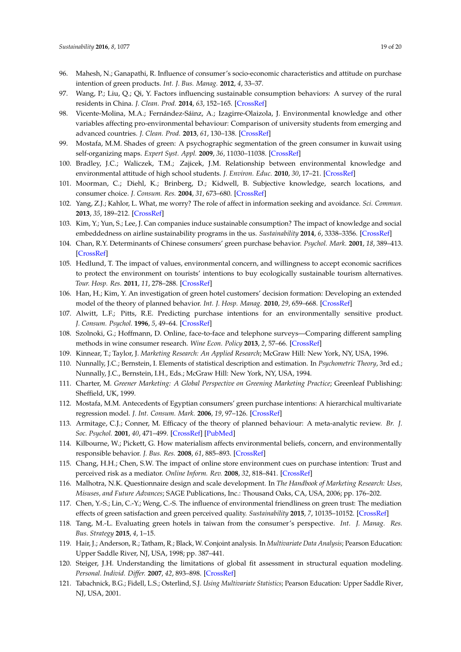- <span id="page-18-0"></span>96. Mahesh, N.; Ganapathi, R. Influence of consumer's socio-economic characteristics and attitude on purchase intention of green products. *Int. J. Bus. Manag.* **2012**, *4*, 33–37.
- <span id="page-18-1"></span>97. Wang, P.; Liu, Q.; Qi, Y. Factors influencing sustainable consumption behaviors: A survey of the rural residents in China. *J. Clean. Prod.* **2014**, *63*, 152–165. [\[CrossRef\]](http://dx.doi.org/10.1016/j.jclepro.2013.05.007)
- 98. Vicente-Molina, M.A.; Fernández-Sáinz, A.; Izagirre-Olaizola, J. Environmental knowledge and other variables affecting pro-environmental behaviour: Comparison of university students from emerging and advanced countries. *J. Clean. Prod.* **2013**, *61*, 130–138. [\[CrossRef\]](http://dx.doi.org/10.1016/j.jclepro.2013.05.015)
- <span id="page-18-2"></span>99. Mostafa, M.M. Shades of green: A psychographic segmentation of the green consumer in kuwait using self-organizing maps. *Expert Syst. Appl.* **2009**, *36*, 11030–11038. [\[CrossRef\]](http://dx.doi.org/10.1016/j.eswa.2009.02.088)
- <span id="page-18-3"></span>100. Bradley, J.C.; Waliczek, T.M.; Zajicek, J.M. Relationship between environmental knowledge and environmental attitude of high school students. *J. Environ. Educ.* **2010**, *30*, 17–21. [\[CrossRef\]](http://dx.doi.org/10.1080/00958969909601873)
- <span id="page-18-4"></span>101. Moorman, C.; Diehl, K.; Brinberg, D.; Kidwell, B. Subjective knowledge, search locations, and consumer choice. *J. Consum. Res.* **2004**, *31*, 673–680. [\[CrossRef\]](http://dx.doi.org/10.1086/425102)
- <span id="page-18-5"></span>102. Yang, Z.J.; Kahlor, L. What, me worry? The role of affect in information seeking and avoidance. *Sci. Commun.* **2013**, *35*, 189–212. [\[CrossRef\]](http://dx.doi.org/10.1177/1075547012441873)
- <span id="page-18-6"></span>103. Kim, Y.; Yun, S.; Lee, J. Can companies induce sustainable consumption? The impact of knowledge and social embeddedness on airline sustainability programs in the us. *Sustainability* **2014**, *6*, 3338–3356. [\[CrossRef\]](http://dx.doi.org/10.3390/su6063338)
- <span id="page-18-7"></span>104. Chan, R.Y. Determinants of Chinese consumers' green purchase behavior. *Psychol. Mark.* **2001**, *18*, 389–413. [\[CrossRef\]](http://dx.doi.org/10.1002/mar.1013)
- <span id="page-18-8"></span>105. Hedlund, T. The impact of values, environmental concern, and willingness to accept economic sacrifices to protect the environment on tourists' intentions to buy ecologically sustainable tourism alternatives. *Tour. Hosp. Res.* **2011**, *11*, 278–288. [\[CrossRef\]](http://dx.doi.org/10.1177/1467358411423330)
- 106. Han, H.; Kim, Y. An investigation of green hotel customers' decision formation: Developing an extended model of the theory of planned behavior. *Int. J. Hosp. Manag.* **2010**, *29*, 659–668. [\[CrossRef\]](http://dx.doi.org/10.1016/j.ijhm.2010.01.001)
- <span id="page-18-9"></span>107. Alwitt, L.F.; Pitts, R.E. Predicting purchase intentions for an environmentally sensitive product. *J. Consum. Psychol.* **1996**, *5*, 49–64. [\[CrossRef\]](http://dx.doi.org/10.1207/s15327663jcp0501_03)
- <span id="page-18-10"></span>108. Szolnoki, G.; Hoffmann, D. Online, face-to-face and telephone surveys—Comparing different sampling methods in wine consumer research. *Wine Econ. Policy* **2013**, *2*, 57–66. [\[CrossRef\]](http://dx.doi.org/10.1016/j.wep.2013.10.001)
- <span id="page-18-12"></span><span id="page-18-11"></span>109. Kinnear, T.; Taylor, J. *Marketing Research: An Applied Research*; McGraw Hill: New York, NY, USA, 1996.
- 110. Nunnally, J.C.; Bernstein, I. Elements of statistical description and estimation. In *Psychometric Theory*, 3rd ed.; Nunnally, J.C., Bernstein, I.H., Eds.; McGraw Hill: New York, NY, USA, 1994.
- <span id="page-18-13"></span>111. Charter, M. *Greener Marketing: A Global Perspective on Greening Marketing Practice*; Greenleaf Publishing: Sheffield, UK, 1999.
- <span id="page-18-14"></span>112. Mostafa, M.M. Antecedents of Egyptian consumers' green purchase intentions: A hierarchical multivariate regression model. *J. Int. Consum. Mark.* **2006**, *19*, 97–126. [\[CrossRef\]](http://dx.doi.org/10.1300/J046v19n02_06)
- <span id="page-18-15"></span>113. Armitage, C.J.; Conner, M. Efficacy of the theory of planned behaviour: A meta-analytic review. *Br. J. Soc. Psychol.* **2001**, *40*, 471–499. [\[CrossRef\]](http://dx.doi.org/10.1348/014466601164939) [\[PubMed\]](http://www.ncbi.nlm.nih.gov/pubmed/11795063)
- <span id="page-18-16"></span>114. Kilbourne, W.; Pickett, G. How materialism affects environmental beliefs, concern, and environmentally responsible behavior. *J. Bus. Res.* **2008**, *61*, 885–893. [\[CrossRef\]](http://dx.doi.org/10.1016/j.jbusres.2007.09.016)
- <span id="page-18-17"></span>115. Chang, H.H.; Chen, S.W. The impact of online store environment cues on purchase intention: Trust and perceived risk as a mediator. *Online Inform. Rev.* **2008**, *32*, 818–841. [\[CrossRef\]](http://dx.doi.org/10.1108/14684520810923953)
- <span id="page-18-18"></span>116. Malhotra, N.K. Questionnaire design and scale development. In *The Handbook of Marketing Research: Uses, Misuses, and Future Advances*; SAGE Publications, Inc.: Thousand Oaks, CA, USA, 2006; pp. 176–202.
- <span id="page-18-19"></span>117. Chen, Y.-S.; Lin, C.-Y.; Weng, C.-S. The influence of environmental friendliness on green trust: The mediation effects of green satisfaction and green perceived quality. *Sustainability* **2015**, *7*, 10135–10152. [\[CrossRef\]](http://dx.doi.org/10.3390/su70810135)
- <span id="page-18-20"></span>118. Tang, M.-L. Evaluating green hotels in taiwan from the consumer's perspective. *Int. J. Manag. Res. Bus. Strategy* **2015**, *4*, 1–15.
- <span id="page-18-21"></span>119. Hair, J.; Anderson, R.; Tatham, R.; Black, W. Conjoint analysis. In *Multivariate Data Analysis*; Pearson Education: Upper Saddle River, NJ, USA, 1998; pp. 387–441.
- <span id="page-18-22"></span>120. Steiger, J.H. Understanding the limitations of global fit assessment in structural equation modeling. *Personal. Individ. Differ.* **2007**, *42*, 893–898. [\[CrossRef\]](http://dx.doi.org/10.1016/j.paid.2006.09.017)
- <span id="page-18-23"></span>121. Tabachnick, B.G.; Fidell, L.S.; Osterlind, S.J. *Using Multivariate Statistics*; Pearson Education: Upper Saddle River, NJ, USA, 2001.